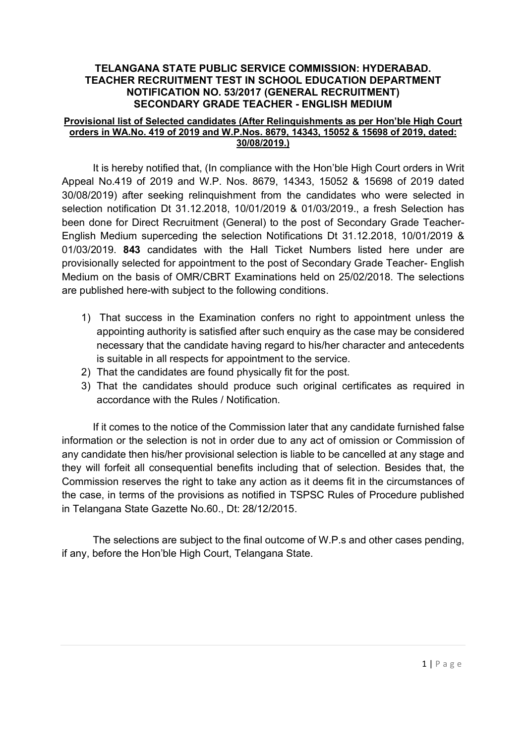#### Provisional list of Selected candidates (After Relinquishments as per Hon'ble High Court orders in WA.No. 419 of 2019 and W.P.Nos. 8679, 14343, 15052 & 15698 of 2019, dated: 30/08/2019.)

It is hereby notified that, (In compliance with the Hon'ble High Court orders in Writ Appeal No.419 of 2019 and W.P. Nos. 8679, 14343, 15052 & 15698 of 2019 dated 30/08/2019) after seeking relinquishment from the candidates who were selected in selection notification Dt 31.12.2018, 10/01/2019 & 01/03/2019., a fresh Selection has been done for Direct Recruitment (General) to the post of Secondary Grade Teacher-English Medium superceding the selection Notifications Dt 31.12.2018, 10/01/2019 & 01/03/2019. 843 candidates with the Hall Ticket Numbers listed here under are provisionally selected for appointment to the post of Secondary Grade Teacher- English Medium on the basis of OMR/CBRT Examinations held on 25/02/2018. The selections are published here-with subject to the following conditions.

- 1) That success in the Examination confers no right to appointment unless the appointing authority is satisfied after such enquiry as the case may be considered necessary that the candidate having regard to his/her character and antecedents is suitable in all respects for appointment to the service.
- 2) That the candidates are found physically fit for the post.
- 3) That the candidates should produce such original certificates as required in accordance with the Rules / Notification.

If it comes to the notice of the Commission later that any candidate furnished false information or the selection is not in order due to any act of omission or Commission of any candidate then his/her provisional selection is liable to be cancelled at any stage and they will forfeit all consequential benefits including that of selection. Besides that, the Commission reserves the right to take any action as it deems fit in the circumstances of the case, in terms of the provisions as notified in TSPSC Rules of Procedure published in Telangana State Gazette No.60., Dt: 28/12/2015.

 The selections are subject to the final outcome of W.P.s and other cases pending, if any, before the Hon'ble High Court, Telangana State.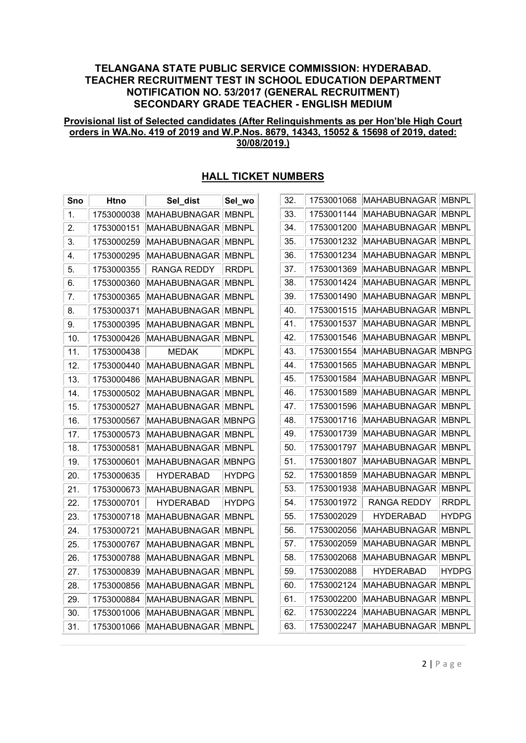#### Provisional list of Selected candidates (After Relinquishments as per Hon'ble High Court orders in WA.No. 419 of 2019 and W.P.Nos. 8679, 14343, 15052 & 15698 of 2019, dated: 30/08/2019.)

| 1753000038<br>MAHABUBNAGAR<br><b>MBNPL</b><br>1.<br>2.<br>1753000151<br>MAHABUBNAGAR<br>MBNPL<br><b>MBNPL</b><br>3.<br>1753000259<br>MAHABUBNAGAR<br>1753000295<br><b>MAHABUBNAGAR</b><br><b>MBNPL</b><br>4.<br>1753000355<br>RANGA REDDY<br><b>RRDPL</b><br>5.<br>6.<br>1753000360<br><b>MAHABUBNAGAR</b><br><b>MBNPL</b><br>7.<br>1753000365<br>MAHABUBNAGAR<br>MBNPL<br>1753000371<br>MAHABUBNAGAR<br>MBNPL<br>8.<br>9.<br>1753000395<br>MAHABUBNAGAR<br>MBNPL<br>10.<br>1753000426<br>MAHABUBNAGAR<br>MBNPL<br>11.<br>1753000438<br><b>MEDAK</b><br><b>MDKPL</b><br><b>MBNPL</b><br>12.<br>1753000440<br>MAHABUBNAGAR<br>13.<br>MAHABUBNAGAR<br><b>MBNPL</b><br>1753000486<br>14.<br>1753000502<br>MAHABUBNAGAR<br><b>MBNPL</b><br>15.<br>1753000527<br><b>MAHABUBNAGAR</b><br><b>MBNPL</b><br>16.<br>1753000567<br>MAHABUBNAGAR<br><b>MBNPG</b><br>MAHABUBNAGAR<br>17.<br>1753000573<br><b>MBNPL</b><br>18.<br>1753000581<br>MAHABUBNAGAR<br><b>MBNPL</b><br>19.<br><b>MBNPG</b><br>1753000601<br>MAHABUBNAGAR<br>20.<br>1753000635<br>HYDERABAD<br><b>HYDPG</b><br>21.<br>1753000673<br>MAHABUBNAGAR<br><b>MBNPL</b><br>1753000701<br><b>HYDERABAD</b><br><b>HYDPG</b><br>22.<br><b>MAHABUBNAGAR</b><br><b>MBNPL</b><br>23.<br>1753000718<br><b>MBNPL</b><br>24.<br>1753000721<br>MAHABUBNAGAR<br>25.<br>1753000767<br>MAHABUBNAGAR<br>MBNPL<br>1753000788<br><b>MAHABUBNAGAR</b><br><b>MBNPL</b><br>26.<br><b>MBNPL</b><br>27.<br>1753000839<br>MAHABUBNAGAR<br>1753000856<br><b>MAHABUBNAGAR</b><br><b>MBNPL</b><br>28.<br><b>MAHABUBNAGAR</b><br>29.<br>1753000884<br><b>MBNPL</b><br>30.<br>1753001006<br><b>MAHABUBNAGAR</b><br><b>MBNPL</b><br>31.<br><b>MAHABUBNAGAR</b><br>1753001066<br>MBNPL | Sno | Htno | Sel_dist | Sel_wo |
|--------------------------------------------------------------------------------------------------------------------------------------------------------------------------------------------------------------------------------------------------------------------------------------------------------------------------------------------------------------------------------------------------------------------------------------------------------------------------------------------------------------------------------------------------------------------------------------------------------------------------------------------------------------------------------------------------------------------------------------------------------------------------------------------------------------------------------------------------------------------------------------------------------------------------------------------------------------------------------------------------------------------------------------------------------------------------------------------------------------------------------------------------------------------------------------------------------------------------------------------------------------------------------------------------------------------------------------------------------------------------------------------------------------------------------------------------------------------------------------------------------------------------------------------------------------------------------------------------------------------------------------------------------------------------------------------------------------|-----|------|----------|--------|
|                                                                                                                                                                                                                                                                                                                                                                                                                                                                                                                                                                                                                                                                                                                                                                                                                                                                                                                                                                                                                                                                                                                                                                                                                                                                                                                                                                                                                                                                                                                                                                                                                                                                                                              |     |      |          |        |
|                                                                                                                                                                                                                                                                                                                                                                                                                                                                                                                                                                                                                                                                                                                                                                                                                                                                                                                                                                                                                                                                                                                                                                                                                                                                                                                                                                                                                                                                                                                                                                                                                                                                                                              |     |      |          |        |
|                                                                                                                                                                                                                                                                                                                                                                                                                                                                                                                                                                                                                                                                                                                                                                                                                                                                                                                                                                                                                                                                                                                                                                                                                                                                                                                                                                                                                                                                                                                                                                                                                                                                                                              |     |      |          |        |
|                                                                                                                                                                                                                                                                                                                                                                                                                                                                                                                                                                                                                                                                                                                                                                                                                                                                                                                                                                                                                                                                                                                                                                                                                                                                                                                                                                                                                                                                                                                                                                                                                                                                                                              |     |      |          |        |
|                                                                                                                                                                                                                                                                                                                                                                                                                                                                                                                                                                                                                                                                                                                                                                                                                                                                                                                                                                                                                                                                                                                                                                                                                                                                                                                                                                                                                                                                                                                                                                                                                                                                                                              |     |      |          |        |
|                                                                                                                                                                                                                                                                                                                                                                                                                                                                                                                                                                                                                                                                                                                                                                                                                                                                                                                                                                                                                                                                                                                                                                                                                                                                                                                                                                                                                                                                                                                                                                                                                                                                                                              |     |      |          |        |
|                                                                                                                                                                                                                                                                                                                                                                                                                                                                                                                                                                                                                                                                                                                                                                                                                                                                                                                                                                                                                                                                                                                                                                                                                                                                                                                                                                                                                                                                                                                                                                                                                                                                                                              |     |      |          |        |
|                                                                                                                                                                                                                                                                                                                                                                                                                                                                                                                                                                                                                                                                                                                                                                                                                                                                                                                                                                                                                                                                                                                                                                                                                                                                                                                                                                                                                                                                                                                                                                                                                                                                                                              |     |      |          |        |
|                                                                                                                                                                                                                                                                                                                                                                                                                                                                                                                                                                                                                                                                                                                                                                                                                                                                                                                                                                                                                                                                                                                                                                                                                                                                                                                                                                                                                                                                                                                                                                                                                                                                                                              |     |      |          |        |
|                                                                                                                                                                                                                                                                                                                                                                                                                                                                                                                                                                                                                                                                                                                                                                                                                                                                                                                                                                                                                                                                                                                                                                                                                                                                                                                                                                                                                                                                                                                                                                                                                                                                                                              |     |      |          |        |
|                                                                                                                                                                                                                                                                                                                                                                                                                                                                                                                                                                                                                                                                                                                                                                                                                                                                                                                                                                                                                                                                                                                                                                                                                                                                                                                                                                                                                                                                                                                                                                                                                                                                                                              |     |      |          |        |
|                                                                                                                                                                                                                                                                                                                                                                                                                                                                                                                                                                                                                                                                                                                                                                                                                                                                                                                                                                                                                                                                                                                                                                                                                                                                                                                                                                                                                                                                                                                                                                                                                                                                                                              |     |      |          |        |
|                                                                                                                                                                                                                                                                                                                                                                                                                                                                                                                                                                                                                                                                                                                                                                                                                                                                                                                                                                                                                                                                                                                                                                                                                                                                                                                                                                                                                                                                                                                                                                                                                                                                                                              |     |      |          |        |
|                                                                                                                                                                                                                                                                                                                                                                                                                                                                                                                                                                                                                                                                                                                                                                                                                                                                                                                                                                                                                                                                                                                                                                                                                                                                                                                                                                                                                                                                                                                                                                                                                                                                                                              |     |      |          |        |
|                                                                                                                                                                                                                                                                                                                                                                                                                                                                                                                                                                                                                                                                                                                                                                                                                                                                                                                                                                                                                                                                                                                                                                                                                                                                                                                                                                                                                                                                                                                                                                                                                                                                                                              |     |      |          |        |
|                                                                                                                                                                                                                                                                                                                                                                                                                                                                                                                                                                                                                                                                                                                                                                                                                                                                                                                                                                                                                                                                                                                                                                                                                                                                                                                                                                                                                                                                                                                                                                                                                                                                                                              |     |      |          |        |
|                                                                                                                                                                                                                                                                                                                                                                                                                                                                                                                                                                                                                                                                                                                                                                                                                                                                                                                                                                                                                                                                                                                                                                                                                                                                                                                                                                                                                                                                                                                                                                                                                                                                                                              |     |      |          |        |
|                                                                                                                                                                                                                                                                                                                                                                                                                                                                                                                                                                                                                                                                                                                                                                                                                                                                                                                                                                                                                                                                                                                                                                                                                                                                                                                                                                                                                                                                                                                                                                                                                                                                                                              |     |      |          |        |
|                                                                                                                                                                                                                                                                                                                                                                                                                                                                                                                                                                                                                                                                                                                                                                                                                                                                                                                                                                                                                                                                                                                                                                                                                                                                                                                                                                                                                                                                                                                                                                                                                                                                                                              |     |      |          |        |
|                                                                                                                                                                                                                                                                                                                                                                                                                                                                                                                                                                                                                                                                                                                                                                                                                                                                                                                                                                                                                                                                                                                                                                                                                                                                                                                                                                                                                                                                                                                                                                                                                                                                                                              |     |      |          |        |
|                                                                                                                                                                                                                                                                                                                                                                                                                                                                                                                                                                                                                                                                                                                                                                                                                                                                                                                                                                                                                                                                                                                                                                                                                                                                                                                                                                                                                                                                                                                                                                                                                                                                                                              |     |      |          |        |
|                                                                                                                                                                                                                                                                                                                                                                                                                                                                                                                                                                                                                                                                                                                                                                                                                                                                                                                                                                                                                                                                                                                                                                                                                                                                                                                                                                                                                                                                                                                                                                                                                                                                                                              |     |      |          |        |
|                                                                                                                                                                                                                                                                                                                                                                                                                                                                                                                                                                                                                                                                                                                                                                                                                                                                                                                                                                                                                                                                                                                                                                                                                                                                                                                                                                                                                                                                                                                                                                                                                                                                                                              |     |      |          |        |
|                                                                                                                                                                                                                                                                                                                                                                                                                                                                                                                                                                                                                                                                                                                                                                                                                                                                                                                                                                                                                                                                                                                                                                                                                                                                                                                                                                                                                                                                                                                                                                                                                                                                                                              |     |      |          |        |
|                                                                                                                                                                                                                                                                                                                                                                                                                                                                                                                                                                                                                                                                                                                                                                                                                                                                                                                                                                                                                                                                                                                                                                                                                                                                                                                                                                                                                                                                                                                                                                                                                                                                                                              |     |      |          |        |
|                                                                                                                                                                                                                                                                                                                                                                                                                                                                                                                                                                                                                                                                                                                                                                                                                                                                                                                                                                                                                                                                                                                                                                                                                                                                                                                                                                                                                                                                                                                                                                                                                                                                                                              |     |      |          |        |
|                                                                                                                                                                                                                                                                                                                                                                                                                                                                                                                                                                                                                                                                                                                                                                                                                                                                                                                                                                                                                                                                                                                                                                                                                                                                                                                                                                                                                                                                                                                                                                                                                                                                                                              |     |      |          |        |
|                                                                                                                                                                                                                                                                                                                                                                                                                                                                                                                                                                                                                                                                                                                                                                                                                                                                                                                                                                                                                                                                                                                                                                                                                                                                                                                                                                                                                                                                                                                                                                                                                                                                                                              |     |      |          |        |
|                                                                                                                                                                                                                                                                                                                                                                                                                                                                                                                                                                                                                                                                                                                                                                                                                                                                                                                                                                                                                                                                                                                                                                                                                                                                                                                                                                                                                                                                                                                                                                                                                                                                                                              |     |      |          |        |
|                                                                                                                                                                                                                                                                                                                                                                                                                                                                                                                                                                                                                                                                                                                                                                                                                                                                                                                                                                                                                                                                                                                                                                                                                                                                                                                                                                                                                                                                                                                                                                                                                                                                                                              |     |      |          |        |
|                                                                                                                                                                                                                                                                                                                                                                                                                                                                                                                                                                                                                                                                                                                                                                                                                                                                                                                                                                                                                                                                                                                                                                                                                                                                                                                                                                                                                                                                                                                                                                                                                                                                                                              |     |      |          |        |

# HALL TICKET NUMBERS

| 32. | 1753001068 | <b>MAHABUBNAGAR</b> | MBNPL        |
|-----|------------|---------------------|--------------|
| 33. | 1753001144 | MAHABUBNAGAR        | MBNPL        |
| 34. | 1753001200 | MAHABUBNAGAR        | <b>MBNPL</b> |
| 35. | 1753001232 | MAHABUBNAGAR        | MBNPL        |
| 36. | 1753001234 | MAHABUBNAGAR        | MBNPL        |
| 37. | 1753001369 | MAHABUBNAGAR        | <b>MBNPL</b> |
| 38. | 1753001424 | MAHABUBNAGAR        | MBNPL        |
| 39. | 1753001490 | MAHABUBNAGAR        | <b>MBNPL</b> |
| 40. | 1753001515 | MAHABUBNAGAR        | <b>MBNPL</b> |
| 41. | 1753001537 | MAHABUBNAGAR        | MBNPL        |
| 42. | 1753001546 | MAHABUBNAGAR        | MBNPL        |
| 43. | 1753001554 | MAHABUBNAGAR        | <b>MBNPG</b> |
| 44. | 1753001565 | MAHABUBNAGAR        | MBNPL        |
| 45. | 1753001584 | MAHABUBNAGAR        | MBNPL        |
| 46. | 1753001589 | MAHABUBNAGAR        | <b>MBNPL</b> |
| 47. | 1753001596 | MAHABUBNAGAR        | MBNPL        |
| 48. | 1753001716 | MAHABUBNAGAR        | MBNPL        |
| 49. | 1753001739 | MAHABUBNAGAR        | <b>MBNPL</b> |
| 50. | 1753001797 | MAHABUBNAGAR        | MBNPL        |
| 51. | 1753001807 | MAHABUBNAGAR        | MBNPL        |
| 52. | 1753001859 | MAHABUBNAGAR        | <b>MBNPL</b> |
| 53. | 1753001938 | MAHABUBNAGAR        | MBNPL        |
| 54. | 1753001972 | RANGA REDDY         | <b>RRDPL</b> |
| 55. | 1753002029 | HYDERABAD           | HYDPG        |
| 56. | 1753002056 | MAHABUBNAGAR        | MBNPL        |
| 57. | 1753002059 | MAHABUBNAGAR        | MBNPL        |
| 58. | 1753002068 | MAHABUBNAGAR        | MBNPL        |
| 59. | 1753002088 | HYDERABAD           | HYDPG        |
| 60. | 1753002124 | MAHABUBNAGAR        | MBNPL        |
| 61. | 1753002200 | MAHABUBNAGAR        | MBNPL        |
| 62. | 1753002224 | <b>MAHABUBNAGAR</b> | <b>MBNPL</b> |
| 63. | 1753002247 | MAHABUBNAGAR        | <b>MBNPL</b> |

 $2 | P \text{ a g e}$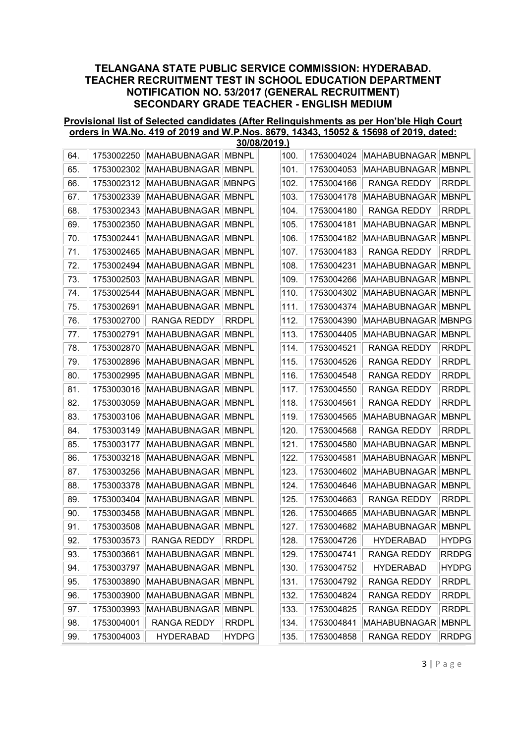#### Provisional list of Selected candidates (After Relinquishments as per Hon'ble High Court orders in WA.No. 419 of 2019 and W.P.Nos. 8679, 14343, 15052 & 15698 of 2019, dated: 30/08/2019.)

| 64. | 1753002250 | MAHABUBNAGAR   MBNPL |              | 100. | 1753004024 | <b>MAHABUBNAGAR</b> | <b>MBNPL</b> |
|-----|------------|----------------------|--------------|------|------------|---------------------|--------------|
| 65. | 1753002302 | MAHABUBNAGAR MBNPL   |              | 101. | 1753004053 | <b>MAHABUBNAGAR</b> | <b>MBNPL</b> |
| 66. | 1753002312 | MAHABUBNAGAR MBNPG   |              | 102. | 1753004166 | <b>RANGA REDDY</b>  | <b>RRDPL</b> |
| 67. | 1753002339 | MAHABUBNAGAR MBNPL   |              | 103. | 1753004178 | <b>MAHABUBNAGAR</b> | <b>MBNPL</b> |
| 68. | 1753002343 | MAHABUBNAGAR MBNPL   |              | 104. | 1753004180 | <b>RANGA REDDY</b>  | <b>RRDPL</b> |
| 69. | 1753002350 | MAHABUBNAGAR MBNPL   |              | 105. | 1753004181 | <b>MAHABUBNAGAR</b> | <b>MBNPL</b> |
| 70. | 1753002441 | MAHABUBNAGAR MBNPL   |              | 106. | 1753004182 | <b>MAHABUBNAGAR</b> | <b>MBNPL</b> |
| 71. | 1753002465 | MAHABUBNAGAR MBNPL   |              | 107. | 1753004183 | <b>RANGA REDDY</b>  | <b>RRDPL</b> |
| 72. | 1753002494 | MAHABUBNAGAR MBNPL   |              | 108. | 1753004231 | <b>MAHABUBNAGAR</b> | <b>MBNPL</b> |
| 73. | 1753002503 | MAHABUBNAGAR MBNPL   |              | 109. | 1753004266 | <b>MAHABUBNAGAR</b> | <b>MBNPL</b> |
| 74. | 1753002544 | MAHABUBNAGAR MBNPL   |              | 110. | 1753004302 | <b>MAHABUBNAGAR</b> | <b>MBNPL</b> |
| 75. | 1753002691 | MAHABUBNAGAR MBNPL   |              | 111. | 1753004374 | <b>MAHABUBNAGAR</b> | <b>MBNPL</b> |
| 76. | 1753002700 | <b>RANGA REDDY</b>   | <b>RRDPL</b> | 112. | 1753004390 | <b>MAHABUBNAGAR</b> | <b>MBNPG</b> |
| 77. | 1753002791 | MAHABUBNAGAR MBNPL   |              | 113. | 1753004405 | <b>MAHABUBNAGAR</b> | <b>MBNPL</b> |
| 78. | 1753002870 | MAHABUBNAGAR MBNPL   |              | 114. | 1753004521 | <b>RANGA REDDY</b>  | <b>RRDPL</b> |
| 79. | 1753002896 | MAHABUBNAGAR MBNPL   |              | 115. | 1753004526 | <b>RANGA REDDY</b>  | <b>RRDPL</b> |
| 80. | 1753002995 | MAHABUBNAGAR MBNPL   |              | 116. | 1753004548 | <b>RANGA REDDY</b>  | <b>RRDPL</b> |
| 81. | 1753003016 | MAHABUBNAGAR         | <b>MBNPL</b> | 117. | 1753004550 | <b>RANGA REDDY</b>  | <b>RRDPL</b> |
| 82. | 1753003059 | MAHABUBNAGAR MBNPL   |              | 118. | 1753004561 | <b>RANGA REDDY</b>  | <b>RRDPL</b> |
| 83. | 1753003106 | MAHABUBNAGAR MBNPL   |              | 119. | 1753004565 | <b>MAHABUBNAGAR</b> | <b>MBNPL</b> |
| 84. | 1753003149 | MAHABUBNAGAR MBNPL   |              | 120. | 1753004568 | <b>RANGA REDDY</b>  | <b>RRDPL</b> |
| 85. | 1753003177 | MAHABUBNAGAR MBNPL   |              | 121. | 1753004580 | <b>MAHABUBNAGAR</b> | <b>MBNPL</b> |
| 86. | 1753003218 | <b>MAHABUBNAGAR</b>  | <b>MBNPL</b> | 122. | 1753004581 | <b>MAHABUBNAGAR</b> | <b>MBNPL</b> |
| 87. | 1753003256 | MAHABUBNAGAR MBNPL   |              | 123. | 1753004602 | <b>MAHABUBNAGAR</b> | <b>MBNPL</b> |
| 88. | 1753003378 | MAHABUBNAGAR MBNPL   |              | 124. | 1753004646 | <b>MAHABUBNAGAR</b> | <b>MBNPL</b> |
| 89. | 1753003404 | <b>MAHABUBNAGAR</b>  | <b>MBNPL</b> | 125. | 1753004663 | <b>RANGA REDDY</b>  | <b>RRDPL</b> |
| 90. | 1753003458 | MAHABUBNAGAR MBNPL   |              | 126. | 1753004665 | MAHABUBNAGAR        | <b>MBNPL</b> |
| 91. | 1753003508 | MAHABUBNAGAR MBNPL   |              | 127. | 1753004682 | MAHABUBNAGAR        | <b>MBNPL</b> |
| 92. | 1753003573 | RANGA REDDY          | <b>RRDPL</b> | 128. | 1753004726 | <b>HYDERABAD</b>    | <b>HYDPG</b> |
| 93. | 1753003661 | MAHABUBNAGAR MBNPL   |              | 129. | 1753004741 | <b>RANGA REDDY</b>  | <b>RRDPG</b> |
| 94. | 1753003797 | MAHABUBNAGAR MBNPL   |              | 130. | 1753004752 | <b>HYDERABAD</b>    | <b>HYDPG</b> |
| 95. | 1753003890 | MAHABUBNAGAR MBNPL   |              | 131. | 1753004792 | <b>RANGA REDDY</b>  | <b>RRDPL</b> |
| 96. | 1753003900 | MAHABUBNAGAR MBNPL   |              | 132. | 1753004824 | <b>RANGA REDDY</b>  | <b>RRDPL</b> |
| 97. | 1753003993 | MAHABUBNAGAR MBNPL   |              | 133. | 1753004825 | <b>RANGA REDDY</b>  | <b>RRDPL</b> |
| 98. | 1753004001 | RANGA REDDY          | <b>RRDPL</b> | 134. | 1753004841 | <b>MAHABUBNAGAR</b> | <b>MBNPL</b> |
| 99. | 1753004003 | <b>HYDERABAD</b>     | <b>HYDPG</b> | 135. | 1753004858 | RANGA REDDY         | <b>RRDPG</b> |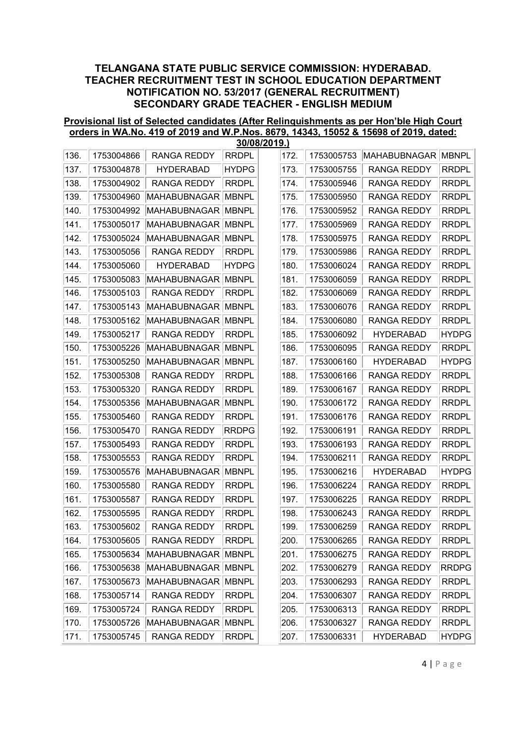#### Provisional list of Selected candidates (After Relinquishments as per Hon'ble High Court orders in WA.No. 419 of 2019 and W.P.Nos. 8679, 14343, 15052 & 15698 of 2019, dated: 30/08/2019.)

|      |            |                     |              | <u>JUIUUIZU 19. J</u> |            |                    |              |
|------|------------|---------------------|--------------|-----------------------|------------|--------------------|--------------|
| 136. | 1753004866 | <b>RANGA REDDY</b>  | <b>RRDPL</b> | 172.                  | 1753005753 | MAHABUBNAGAR       | <b>MBNPL</b> |
| 137. | 1753004878 | <b>HYDERABAD</b>    | <b>HYDPG</b> | 173.                  | 1753005755 | RANGA REDDY        | <b>RRDPL</b> |
| 138. | 1753004902 | <b>RANGA REDDY</b>  | <b>RRDPL</b> | 174.                  | 1753005946 | <b>RANGA REDDY</b> | <b>RRDPL</b> |
| 139. | 1753004960 | MAHABUBNAGAR        | <b>MBNPL</b> | 175.                  | 1753005950 | <b>RANGA REDDY</b> | <b>RRDPL</b> |
| 140. | 1753004992 | <b>MAHABUBNAGAR</b> | <b>MBNPL</b> | 176.                  | 1753005952 | RANGA REDDY        | <b>RRDPL</b> |
| 141. | 1753005017 | <b>MAHABUBNAGAR</b> | <b>MBNPL</b> | 177.                  | 1753005969 | <b>RANGA REDDY</b> | <b>RRDPL</b> |
| 142. | 1753005024 | MAHABUBNAGAR        | <b>MBNPL</b> | 178.                  | 1753005975 | <b>RANGA REDDY</b> | <b>RRDPL</b> |
| 143. | 1753005056 | <b>RANGA REDDY</b>  | <b>RRDPL</b> | 179.                  | 1753005986 | <b>RANGA REDDY</b> | <b>RRDPL</b> |
| 144. | 1753005060 | <b>HYDERABAD</b>    | <b>HYDPG</b> | 180.                  | 1753006024 | <b>RANGA REDDY</b> | <b>RRDPL</b> |
| 145. | 1753005083 | MAHABUBNAGAR        | <b>MBNPL</b> | 181.                  | 1753006059 | RANGA REDDY        | <b>RRDPL</b> |
| 146. | 1753005103 | RANGA REDDY         | <b>RRDPL</b> | 182.                  | 1753006069 | <b>RANGA REDDY</b> | <b>RRDPL</b> |
| 147. | 1753005143 | MAHABUBNAGAR        | <b>MBNPL</b> | 183.                  | 1753006076 | <b>RANGA REDDY</b> | <b>RRDPL</b> |
| 148. | 1753005162 | <b>MAHABUBNAGAR</b> | <b>MBNPL</b> | 184.                  | 1753006080 | RANGA REDDY        | <b>RRDPL</b> |
| 149. | 1753005217 | RANGA REDDY         | <b>RRDPL</b> | 185.                  | 1753006092 | <b>HYDERABAD</b>   | <b>HYDPG</b> |
| 150. | 1753005226 | <b>MAHABUBNAGAR</b> | <b>MBNPL</b> | 186.                  | 1753006095 | <b>RANGA REDDY</b> | <b>RRDPL</b> |
| 151. | 1753005250 | MAHABUBNAGAR        | <b>MBNPL</b> | 187.                  | 1753006160 | <b>HYDERABAD</b>   | <b>HYDPG</b> |
| 152. | 1753005308 | RANGA REDDY         | <b>RRDPL</b> | 188.                  | 1753006166 | <b>RANGA REDDY</b> | <b>RRDPL</b> |
| 153. | 1753005320 | <b>RANGA REDDY</b>  | <b>RRDPL</b> | 189.                  | 1753006167 | RANGA REDDY        | <b>RRDPL</b> |
| 154. | 1753005356 | MAHABUBNAGAR        | <b>MBNPL</b> | 190.                  | 1753006172 | <b>RANGA REDDY</b> | <b>RRDPL</b> |
| 155. | 1753005460 | RANGA REDDY         | <b>RRDPL</b> | 191.                  | 1753006176 | RANGA REDDY        | <b>RRDPL</b> |
| 156. | 1753005470 | <b>RANGA REDDY</b>  | <b>RRDPG</b> | 192.                  | 1753006191 | <b>RANGA REDDY</b> | <b>RRDPL</b> |
| 157. | 1753005493 | RANGA REDDY         | <b>RRDPL</b> | 193.                  | 1753006193 | <b>RANGA REDDY</b> | <b>RRDPL</b> |
| 158. | 1753005553 | <b>RANGA REDDY</b>  | <b>RRDPL</b> | 194.                  | 1753006211 | <b>RANGA REDDY</b> | <b>RRDPL</b> |
| 159. | 1753005576 | MAHABUBNAGAR        | <b>MBNPL</b> | 195.                  | 1753006216 | <b>HYDERABAD</b>   | <b>HYDPG</b> |
| 160. | 1753005580 | RANGA REDDY         | <b>RRDPL</b> | 196.                  | 1753006224 | <b>RANGA REDDY</b> | <b>RRDPL</b> |
| 161. | 1753005587 | <b>RANGA REDDY</b>  | <b>RRDPL</b> | 197.                  | 1753006225 | RANGA REDDY        | <b>RRDPL</b> |
| 162. | 1753005595 | RANGA REDDY         | <b>RRDPL</b> | 198.                  | 1753006243 | <b>RANGA REDDY</b> | <b>RRDPL</b> |
| 163. | 1753005602 | <b>RANGA REDDY</b>  | <b>RRDPL</b> | 199.                  | 1753006259 | <b>RANGA REDDY</b> | <b>RRDPL</b> |
| 164. | 1753005605 | RANGA REDDY         | <b>RRDPL</b> | 200.                  | 1753006265 | RANGA REDDY        | <b>RRDPL</b> |
| 165. | 1753005634 | MAHABUBNAGAR        | <b>MBNPL</b> | 201.                  | 1753006275 | RANGA REDDY        | <b>RRDPL</b> |
| 166. | 1753005638 | MAHABUBNAGAR MBNPL  |              | 202.                  | 1753006279 | <b>RANGA REDDY</b> | <b>RRDPG</b> |
| 167. | 1753005673 | MAHABUBNAGAR MBNPL  |              | 203.                  | 1753006293 | RANGA REDDY        | <b>RRDPL</b> |
| 168. | 1753005714 | RANGA REDDY         | <b>RRDPL</b> | 204.                  | 1753006307 | RANGA REDDY        | <b>RRDPL</b> |
| 169. | 1753005724 | RANGA REDDY         | <b>RRDPL</b> | 205.                  | 1753006313 | RANGA REDDY        | <b>RRDPL</b> |
| 170. | 1753005726 | MAHABUBNAGAR        | <b>MBNPL</b> | 206.                  | 1753006327 | RANGA REDDY        | <b>RRDPL</b> |
| 171. | 1753005745 | RANGA REDDY         | <b>RRDPL</b> | 207.                  | 1753006331 | <b>HYDERABAD</b>   | <b>HYDPG</b> |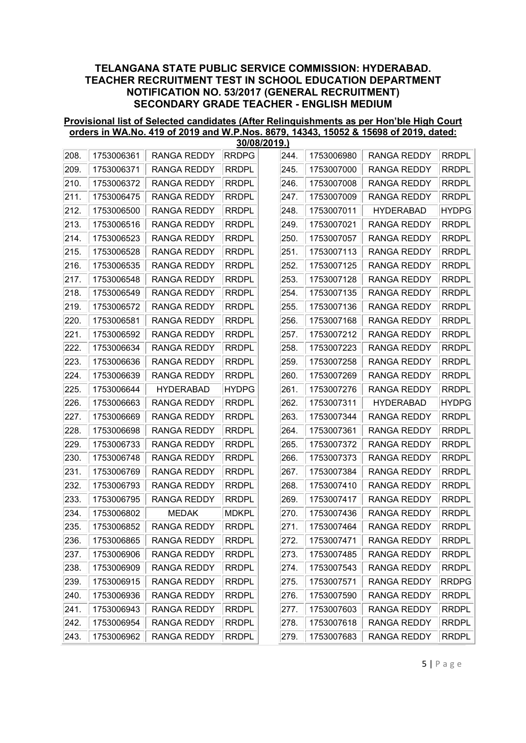#### Provisional list of Selected candidates (After Relinquishments as per Hon'ble High Court orders in WA.No. 419 of 2019 and W.P.Nos. 8679, 14343, 15052 & 15698 of 2019, dated: 30/08/2019.)

|      |            |                    |              | <u>JUIUUIZU 19. J</u> |            |                    |              |
|------|------------|--------------------|--------------|-----------------------|------------|--------------------|--------------|
| 208. | 1753006361 | <b>RANGA REDDY</b> | <b>RRDPG</b> | 244.                  | 1753006980 | <b>RANGA REDDY</b> | <b>RRDPL</b> |
| 209. | 1753006371 | <b>RANGA REDDY</b> | <b>RRDPL</b> | 245.                  | 1753007000 | <b>RANGA REDDY</b> | <b>RRDPL</b> |
| 210. | 1753006372 | <b>RANGA REDDY</b> | <b>RRDPL</b> | 246.                  | 1753007008 | <b>RANGA REDDY</b> | <b>RRDPL</b> |
| 211. | 1753006475 | <b>RANGA REDDY</b> | <b>RRDPL</b> | 247.                  | 1753007009 | <b>RANGA REDDY</b> | <b>RRDPL</b> |
| 212. | 1753006500 | RANGA REDDY        | <b>RRDPL</b> | 248.                  | 1753007011 | <b>HYDERABAD</b>   | <b>HYDPG</b> |
| 213. | 1753006516 | <b>RANGA REDDY</b> | <b>RRDPL</b> | 249.                  | 1753007021 | <b>RANGA REDDY</b> | <b>RRDPL</b> |
| 214. | 1753006523 | RANGA REDDY        | <b>RRDPL</b> | 250.                  | 1753007057 | <b>RANGA REDDY</b> | <b>RRDPL</b> |
| 215. | 1753006528 | <b>RANGA REDDY</b> | <b>RRDPL</b> | 251.                  | 1753007113 | <b>RANGA REDDY</b> | <b>RRDPL</b> |
| 216. | 1753006535 | <b>RANGA REDDY</b> | <b>RRDPL</b> | 252.                  | 1753007125 | <b>RANGA REDDY</b> | <b>RRDPL</b> |
| 217. | 1753006548 | RANGA REDDY        | <b>RRDPL</b> | 253.                  | 1753007128 | <b>RANGA REDDY</b> | <b>RRDPL</b> |
| 218. | 1753006549 | RANGA REDDY        | <b>RRDPL</b> | 254.                  | 1753007135 | <b>RANGA REDDY</b> | <b>RRDPL</b> |
| 219. | 1753006572 | RANGA REDDY        | <b>RRDPL</b> | 255.                  | 1753007136 | <b>RANGA REDDY</b> | <b>RRDPL</b> |
| 220. | 1753006581 | <b>RANGA REDDY</b> | <b>RRDPL</b> | 256.                  | 1753007168 | <b>RANGA REDDY</b> | <b>RRDPL</b> |
| 221. | 1753006592 | RANGA REDDY        | <b>RRDPL</b> | 257.                  | 1753007212 | <b>RANGA REDDY</b> | <b>RRDPL</b> |
| 222. | 1753006634 | RANGA REDDY        | <b>RRDPL</b> | 258.                  | 1753007223 | <b>RANGA REDDY</b> | <b>RRDPL</b> |
| 223. | 1753006636 | RANGA REDDY        | <b>RRDPL</b> | 259.                  | 1753007258 | <b>RANGA REDDY</b> | <b>RRDPL</b> |
| 224. | 1753006639 | RANGA REDDY        | <b>RRDPL</b> | 260.                  | 1753007269 | <b>RANGA REDDY</b> | <b>RRDPL</b> |
| 225. | 1753006644 | <b>HYDERABAD</b>   | <b>HYDPG</b> | 261.                  | 1753007276 | <b>RANGA REDDY</b> | <b>RRDPL</b> |
| 226. | 1753006663 | <b>RANGA REDDY</b> | <b>RRDPL</b> | 262.                  | 1753007311 | <b>HYDERABAD</b>   | <b>HYDPG</b> |
| 227. | 1753006669 | RANGA REDDY        | <b>RRDPL</b> | 263.                  | 1753007344 | <b>RANGA REDDY</b> | <b>RRDPL</b> |
| 228. | 1753006698 | <b>RANGA REDDY</b> | <b>RRDPL</b> | 264.                  | 1753007361 | <b>RANGA REDDY</b> | <b>RRDPL</b> |
| 229. | 1753006733 | RANGA REDDY        | <b>RRDPL</b> | 265.                  | 1753007372 | <b>RANGA REDDY</b> | <b>RRDPL</b> |
| 230. | 1753006748 | <b>RANGA REDDY</b> | <b>RRDPL</b> | 266.                  | 1753007373 | <b>RANGA REDDY</b> | <b>RRDPL</b> |
| 231. | 1753006769 | <b>RANGA REDDY</b> | <b>RRDPL</b> | 267.                  | 1753007384 | <b>RANGA REDDY</b> | <b>RRDPL</b> |
| 232. | 1753006793 | RANGA REDDY        | <b>RRDPL</b> | 268.                  | 1753007410 | <b>RANGA REDDY</b> | <b>RRDPL</b> |
| 233. | 1753006795 | <b>RANGA REDDY</b> | <b>RRDPL</b> | 269.                  | 1753007417 | <b>RANGA REDDY</b> | <b>RRDPL</b> |
| 234. | 1753006802 | <b>MEDAK</b>       | <b>MDKPL</b> | 270.                  | 1753007436 | <b>RANGA REDDY</b> | <b>RRDPL</b> |
| 235. | 1753006852 | <b>RANGA REDDY</b> | <b>RRDPL</b> | 271.                  | 1753007464 | <b>RANGA REDDY</b> | <b>RRDPL</b> |
| 236. | 1753006865 | RANGA REDDY        | <b>RRDPL</b> | 272.                  | 1753007471 | RANGA REDDY        | <b>RRDPL</b> |
| 237. | 1753006906 | <b>RANGA REDDY</b> | <b>RRDPL</b> | 273.                  | 1753007485 | <b>RANGA REDDY</b> | <b>RRDPL</b> |
| 238. | 1753006909 | <b>RANGA REDDY</b> | <b>RRDPL</b> | 274.                  | 1753007543 | <b>RANGA REDDY</b> | <b>RRDPL</b> |
| 239. | 1753006915 | RANGA REDDY        | <b>RRDPL</b> | 275.                  | 1753007571 | <b>RANGA REDDY</b> | <b>RRDPG</b> |
| 240. | 1753006936 | RANGA REDDY        | <b>RRDPL</b> | 276.                  | 1753007590 | <b>RANGA REDDY</b> | <b>RRDPL</b> |
| 241. | 1753006943 | RANGA REDDY        | <b>RRDPL</b> | 277.                  | 1753007603 | <b>RANGA REDDY</b> | <b>RRDPL</b> |
| 242. | 1753006954 | RANGA REDDY        | <b>RRDPL</b> | 278.                  | 1753007618 | <b>RANGA REDDY</b> | <b>RRDPL</b> |
| 243. | 1753006962 | RANGA REDDY        | <b>RRDPL</b> | 279.                  | 1753007683 | <b>RANGA REDDY</b> | RRDPL        |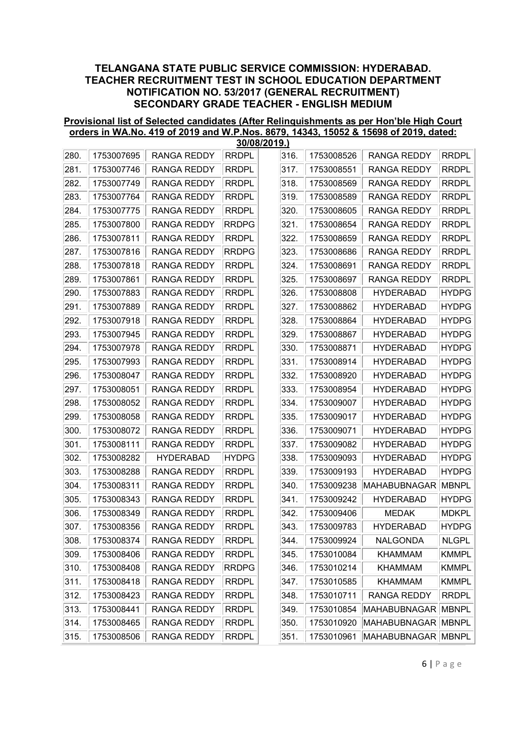#### Provisional list of Selected candidates (After Relinquishments as per Hon'ble High Court orders in WA.No. 419 of 2019 and W.P.Nos. 8679, 14343, 15052 & 15698 of 2019, dated: 30/08/2019.)

|      |            |                    |              | ו פו ט∡טסוטכ |            |                     |              |
|------|------------|--------------------|--------------|--------------|------------|---------------------|--------------|
| 280. | 1753007695 | <b>RANGA REDDY</b> | <b>RRDPL</b> | 316.         | 1753008526 | <b>RANGA REDDY</b>  | <b>RRDPL</b> |
| 281. | 1753007746 | <b>RANGA REDDY</b> | <b>RRDPL</b> | 317.         | 1753008551 | <b>RANGA REDDY</b>  | <b>RRDPL</b> |
| 282. | 1753007749 | <b>RANGA REDDY</b> | <b>RRDPL</b> | 318.         | 1753008569 | <b>RANGA REDDY</b>  | <b>RRDPL</b> |
| 283. | 1753007764 | <b>RANGA REDDY</b> | <b>RRDPL</b> | 319.         | 1753008589 | <b>RANGA REDDY</b>  | <b>RRDPL</b> |
| 284. | 1753007775 | RANGA REDDY        | <b>RRDPL</b> | 320.         | 1753008605 | <b>RANGA REDDY</b>  | <b>RRDPL</b> |
| 285. | 1753007800 | <b>RANGA REDDY</b> | <b>RRDPG</b> | 321.         | 1753008654 | <b>RANGA REDDY</b>  | <b>RRDPL</b> |
| 286. | 1753007811 | RANGA REDDY        | <b>RRDPL</b> | 322.         | 1753008659 | <b>RANGA REDDY</b>  | <b>RRDPL</b> |
| 287. | 1753007816 | <b>RANGA REDDY</b> | <b>RRDPG</b> | 323.         | 1753008686 | <b>RANGA REDDY</b>  | <b>RRDPL</b> |
| 288. | 1753007818 | RANGA REDDY        | <b>RRDPL</b> | 324.         | 1753008691 | RANGA REDDY         | <b>RRDPL</b> |
| 289. | 1753007861 | RANGA REDDY        | <b>RRDPL</b> | 325.         | 1753008697 | <b>RANGA REDDY</b>  | <b>RRDPL</b> |
| 290. | 1753007883 | <b>RANGA REDDY</b> | <b>RRDPL</b> | 326.         | 1753008808 | <b>HYDERABAD</b>    | <b>HYDPG</b> |
| 291. | 1753007889 | <b>RANGA REDDY</b> | <b>RRDPL</b> | 327.         | 1753008862 | <b>HYDERABAD</b>    | <b>HYDPG</b> |
| 292. | 1753007918 | <b>RANGA REDDY</b> | <b>RRDPL</b> | 328.         | 1753008864 | <b>HYDERABAD</b>    | <b>HYDPG</b> |
| 293. | 1753007945 | RANGA REDDY        | <b>RRDPL</b> | 329.         | 1753008867 | <b>HYDERABAD</b>    | <b>HYDPG</b> |
| 294. | 1753007978 | <b>RANGA REDDY</b> | <b>RRDPL</b> | 330.         | 1753008871 | <b>HYDERABAD</b>    | <b>HYDPG</b> |
| 295. | 1753007993 | <b>RANGA REDDY</b> | <b>RRDPL</b> | 331.         | 1753008914 | <b>HYDERABAD</b>    | <b>HYDPG</b> |
| 296. | 1753008047 | RANGA REDDY        | <b>RRDPL</b> | 332.         | 1753008920 | <b>HYDERABAD</b>    | <b>HYDPG</b> |
| 297. | 1753008051 | <b>RANGA REDDY</b> | <b>RRDPL</b> | 333.         | 1753008954 | <b>HYDERABAD</b>    | <b>HYDPG</b> |
| 298. | 1753008052 | <b>RANGA REDDY</b> | <b>RRDPL</b> | 334.         | 1753009007 | <b>HYDERABAD</b>    | <b>HYDPG</b> |
| 299. | 1753008058 | RANGA REDDY        | <b>RRDPL</b> | 335.         | 1753009017 | <b>HYDERABAD</b>    | <b>HYDPG</b> |
| 300. | 1753008072 | <b>RANGA REDDY</b> | <b>RRDPL</b> | 336.         | 1753009071 | <b>HYDERABAD</b>    | <b>HYDPG</b> |
| 301. | 1753008111 | RANGA REDDY        | <b>RRDPL</b> | 337.         | 1753009082 | <b>HYDERABAD</b>    | <b>HYDPG</b> |
| 302. | 1753008282 | <b>HYDERABAD</b>   | <b>HYDPG</b> | 338.         | 1753009093 | <b>HYDERABAD</b>    | <b>HYDPG</b> |
| 303. | 1753008288 | <b>RANGA REDDY</b> | <b>RRDPL</b> | 339.         | 1753009193 | <b>HYDERABAD</b>    | <b>HYDPG</b> |
| 304. | 1753008311 | <b>RANGA REDDY</b> | <b>RRDPL</b> | 340.         | 1753009238 | MAHABUBNAGAR        | <b>MBNPL</b> |
| 305. | 1753008343 | <b>RANGA REDDY</b> | <b>RRDPL</b> | 341.         | 1753009242 | <b>HYDERABAD</b>    | <b>HYDPG</b> |
| 306. | 1753008349 | RANGA REDDY        | <b>RRDPL</b> | 342.         | 1753009406 | <b>MEDAK</b>        | <b>MDKPL</b> |
| 307. | 1753008356 | <b>RANGA REDDY</b> | <b>RRDPL</b> | 343.         | 1753009783 | <b>HYDERABAD</b>    | <b>HYDPG</b> |
| 308. | 1753008374 | RANGA REDDY        | <b>RRDPL</b> | 344.         | 1753009924 | NALGONDA            | <b>NLGPL</b> |
| 309. | 1753008406 | RANGA REDDY        | <b>RRDPL</b> | 345.         | 1753010084 | <b>KHAMMAM</b>      | <b>KMMPL</b> |
| 310. | 1753008408 | RANGA REDDY        | RRDPG        | 346.         | 1753010214 | <b>KHAMMAM</b>      | <b>KMMPL</b> |
| 311. | 1753008418 | RANGA REDDY        | <b>RRDPL</b> | 347.         | 1753010585 | <b>KHAMMAM</b>      | <b>KMMPL</b> |
| 312. | 1753008423 | <b>RANGA REDDY</b> | <b>RRDPL</b> | 348.         | 1753010711 | <b>RANGA REDDY</b>  | <b>RRDPL</b> |
| 313. | 1753008441 | RANGA REDDY        | <b>RRDPL</b> | 349.         | 1753010854 | <b>MAHABUBNAGAR</b> | <b>MBNPL</b> |
| 314. | 1753008465 | RANGA REDDY        | <b>RRDPL</b> | 350.         | 1753010920 | <b>MAHABUBNAGAR</b> | <b>MBNPL</b> |
| 315. | 1753008506 | RANGA REDDY        | <b>RRDPL</b> | 351.         | 1753010961 | <b>MAHABUBNAGAR</b> | MBNPL        |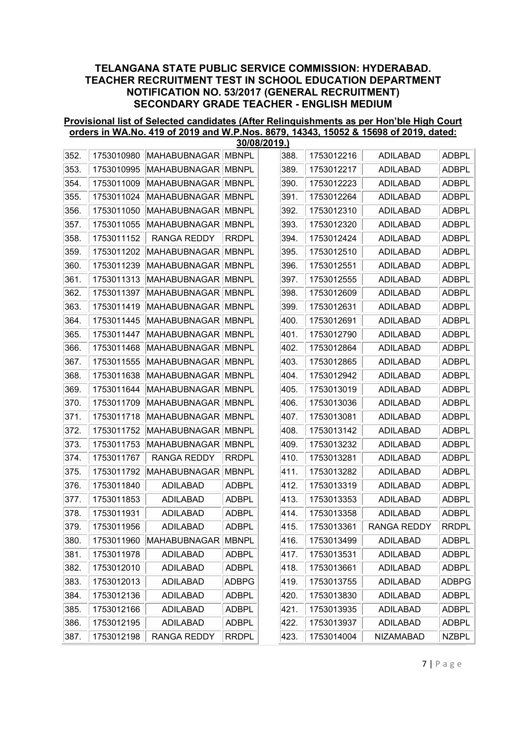#### Provisional list of Selected candidates (After Relinquishments as per Hon'ble High Court orders in WA.No. 419 of 2019 and W.P.Nos. 8679, 14343, 15052 & 15698 of 2019, dated: 30/08/2019.)

|      |            |                               |              | ן.כּוּ ט∡טסוטכ |            |                    |              |
|------|------------|-------------------------------|--------------|----------------|------------|--------------------|--------------|
| 352. | 1753010980 | MAHABUBNAGAR                  | <b>MBNPL</b> | 388.           | 1753012216 | <b>ADILABAD</b>    | <b>ADBPL</b> |
| 353. | 1753010995 | MAHABUBNAGAR MBNPL            |              | 389.           | 1753012217 | <b>ADILABAD</b>    | <b>ADBPL</b> |
| 354. | 1753011009 | MAHABUBNAGAR                  | <b>MBNPL</b> | 390.           | 1753012223 | <b>ADILABAD</b>    | <b>ADBPL</b> |
| 355. | 1753011024 | MAHABUBNAGAR                  | <b>MBNPL</b> | 391.           | 1753012264 | <b>ADILABAD</b>    | <b>ADBPL</b> |
| 356. | 1753011050 | MAHABUBNAGAR                  | <b>MBNPL</b> | 392.           | 1753012310 | <b>ADILABAD</b>    | <b>ADBPL</b> |
| 357. | 1753011055 | <b>MAHABUBNAGAR</b>           | <b>MBNPL</b> | 393.           | 1753012320 | <b>ADILABAD</b>    | <b>ADBPL</b> |
| 358. | 1753011152 | <b>RANGA REDDY</b>            | <b>RRDPL</b> | 394.           | 1753012424 | <b>ADILABAD</b>    | <b>ADBPL</b> |
| 359. | 1753011202 | MAHABUBNAGAR                  | <b>MBNPL</b> | 395.           | 1753012510 | <b>ADILABAD</b>    | <b>ADBPL</b> |
| 360. | 1753011239 | MAHABUBNAGAR                  | <b>MBNPL</b> | 396.           | 1753012551 | <b>ADILABAD</b>    | <b>ADBPL</b> |
| 361. | 1753011313 | <b>MAHABUBNAGAR</b>           | <b>MBNPL</b> | 397.           | 1753012555 | <b>ADILABAD</b>    | <b>ADBPL</b> |
| 362. | 1753011397 | MAHABUBNAGAR <sup> </sup>     | <b>MBNPL</b> | 398.           | 1753012609 | <b>ADILABAD</b>    | <b>ADBPL</b> |
| 363. | 1753011419 | <b>MAHABUBNAGAR</b>           | <b>MBNPL</b> | 399.           | 1753012631 | <b>ADILABAD</b>    | <b>ADBPL</b> |
| 364. | 1753011445 | MAHABUBNAGAR                  | <b>MBNPL</b> | 400.           | 1753012691 | <b>ADILABAD</b>    | <b>ADBPL</b> |
| 365. | 1753011447 | MAHABUBNAGAR MBNPL            |              | 401.           | 1753012790 | <b>ADILABAD</b>    | <b>ADBPL</b> |
| 366. | 1753011468 | MAHABUBNAGAR                  | <b>MBNPL</b> | 402.           | 1753012864 | <b>ADILABAD</b>    | <b>ADBPL</b> |
| 367. | 1753011555 | <b>MAHABUBNAGAR</b>           | <b>MBNPL</b> | 403.           | 1753012865 | <b>ADILABAD</b>    | <b>ADBPL</b> |
| 368. | 1753011638 | <b>MAHABUBNAGAR</b>           | <b>MBNPL</b> | 404.           | 1753012942 | <b>ADILABAD</b>    | <b>ADBPL</b> |
| 369. | 1753011644 | MAHABUBNAGAR                  | <b>MBNPL</b> | 405.           | 1753013019 | <b>ADILABAD</b>    | <b>ADBPL</b> |
| 370. | 1753011709 | <b>MAHABUBNAGAR</b>           | <b>MBNPL</b> | 406.           | 1753013036 | <b>ADILABAD</b>    | <b>ADBPL</b> |
| 371. | 1753011718 | MAHABUBNAGAR                  | <b>MBNPL</b> | 407.           | 1753013081 | <b>ADILABAD</b>    | <b>ADBPL</b> |
| 372. | 1753011752 | MAHABUBNAGAR <sup> </sup>     | <b>MBNPL</b> | 408.           | 1753013142 | <b>ADILABAD</b>    | <b>ADBPL</b> |
| 373. | 1753011753 | MAHABUBNAGAR                  | <b>MBNPL</b> | 409.           | 1753013232 | <b>ADILABAD</b>    | <b>ADBPL</b> |
| 374. | 1753011767 | <b>RANGA REDDY</b>            | <b>RRDPL</b> | 410.           | 1753013281 | <b>ADILABAD</b>    | <b>ADBPL</b> |
| 375. | 1753011792 | MAHABUBNAGAR                  | <b>MBNPL</b> | 411.           | 1753013282 | <b>ADILABAD</b>    | <b>ADBPL</b> |
| 376. | 1753011840 | <b>ADILABAD</b>               | <b>ADBPL</b> | 412.           | 1753013319 | <b>ADILABAD</b>    | <b>ADBPL</b> |
| 377. | 1753011853 | <b>ADILABAD</b>               | <b>ADBPL</b> | 413.           | 1753013353 | <b>ADILABAD</b>    | <b>ADBPL</b> |
| 378. | 1753011931 | <b>ADILABAD</b>               | <b>ADBPL</b> | 414.           | 1753013358 | <b>ADILABAD</b>    | <b>ADBPL</b> |
| 379. | 1753011956 | <b>ADILABAD</b>               | <b>ADBPL</b> | 415.           | 1753013361 | <b>RANGA REDDY</b> | <b>RRDPL</b> |
| 380. |            | 1753011960 MAHABUBNAGAR MBNPL |              | 416.           | 1753013499 | ADILABAD           | <b>ADBPL</b> |
| 381. | 1753011978 | <b>ADILABAD</b>               | ADBPL        | 417.           | 1753013531 | <b>ADILABAD</b>    | <b>ADBPL</b> |
| 382. | 1753012010 | <b>ADILABAD</b>               | ADBPL        | 418.           | 1753013661 | <b>ADILABAD</b>    | ADBPL        |
| 383. | 1753012013 | <b>ADILABAD</b>               | ADBPG        | 419.           | 1753013755 | <b>ADILABAD</b>    | ADBPG        |
| 384. | 1753012136 | <b>ADILABAD</b>               | ADBPL        | 420.           | 1753013830 | <b>ADILABAD</b>    | ADBPL        |
| 385. | 1753012166 | <b>ADILABAD</b>               | ADBPL        | 421.           | 1753013935 | <b>ADILABAD</b>    | ADBPL        |
| 386. | 1753012195 | <b>ADILABAD</b>               | <b>ADBPL</b> | 422.           | 1753013937 | <b>ADILABAD</b>    | ADBPL        |
| 387. | 1753012198 | <b>RANGA REDDY</b>            | <b>RRDPL</b> | 423.           | 1753014004 | NIZAMABAD          | NZBPL        |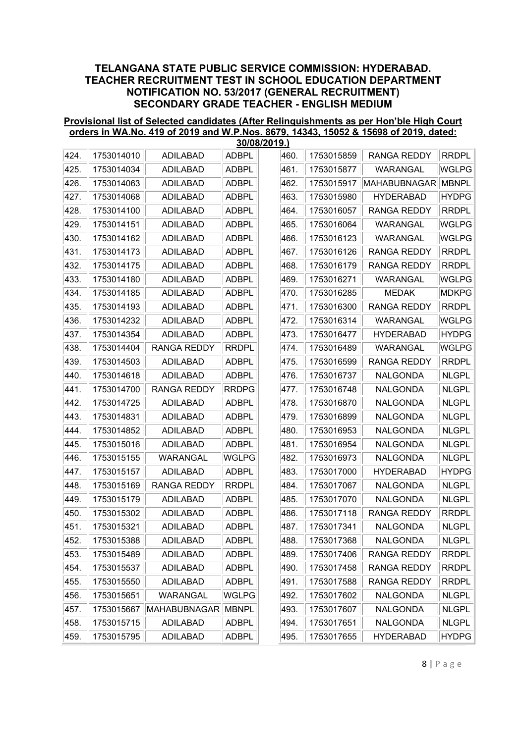#### Provisional list of Selected candidates (After Relinquishments as per Hon'ble High Court orders in WA.No. 419 of 2019 and W.P.Nos. 8679, 14343, 15052 & 15698 of 2019, dated: 30/08/2019.)

|      |            |                    | <u> JUIUOIZU 19. J</u> |      |            |                     |              |
|------|------------|--------------------|------------------------|------|------------|---------------------|--------------|
| 424. | 1753014010 | <b>ADILABAD</b>    | <b>ADBPL</b>           | 460. | 1753015859 | <b>RANGA REDDY</b>  | <b>RRDPL</b> |
| 425. | 1753014034 | <b>ADILABAD</b>    | <b>ADBPL</b>           | 461. | 1753015877 | WARANGAL            | <b>WGLPG</b> |
| 426. | 1753014063 | <b>ADILABAD</b>    | <b>ADBPL</b>           | 462. | 1753015917 | <b>MAHABUBNAGAR</b> | <b>MBNPL</b> |
| 427. | 1753014068 | <b>ADILABAD</b>    | <b>ADBPL</b>           | 463. | 1753015980 | <b>HYDERABAD</b>    | <b>HYDPG</b> |
| 428. | 1753014100 | <b>ADILABAD</b>    | <b>ADBPL</b>           | 464. | 1753016057 | <b>RANGA REDDY</b>  | <b>RRDPL</b> |
| 429. | 1753014151 | <b>ADILABAD</b>    | <b>ADBPL</b>           | 465. | 1753016064 | WARANGAL            | WGLPG        |
| 430. | 1753014162 | <b>ADILABAD</b>    | <b>ADBPL</b>           | 466. | 1753016123 | WARANGAL            | <b>WGLPG</b> |
| 431. | 1753014173 | <b>ADILABAD</b>    | <b>ADBPL</b>           | 467. | 1753016126 | <b>RANGA REDDY</b>  | <b>RRDPL</b> |
| 432. | 1753014175 | <b>ADILABAD</b>    | <b>ADBPL</b>           | 468. | 1753016179 | <b>RANGA REDDY</b>  | <b>RRDPL</b> |
| 433. | 1753014180 | <b>ADILABAD</b>    | <b>ADBPL</b>           | 469. | 1753016271 | WARANGAL            | <b>WGLPG</b> |
| 434. | 1753014185 | <b>ADILABAD</b>    | <b>ADBPL</b>           | 470. | 1753016285 | <b>MEDAK</b>        | <b>MDKPG</b> |
| 435. | 1753014193 | <b>ADILABAD</b>    | <b>ADBPL</b>           | 471. | 1753016300 | <b>RANGA REDDY</b>  | <b>RRDPL</b> |
| 436. | 1753014232 | <b>ADILABAD</b>    | <b>ADBPL</b>           | 472. | 1753016314 | WARANGAL            | WGLPG        |
| 437. | 1753014354 | <b>ADILABAD</b>    | <b>ADBPL</b>           | 473. | 1753016477 | <b>HYDERABAD</b>    | <b>HYDPG</b> |
| 438. | 1753014404 | <b>RANGA REDDY</b> | <b>RRDPL</b>           | 474. | 1753016489 | WARANGAL            | <b>WGLPG</b> |
| 439. | 1753014503 | <b>ADILABAD</b>    | <b>ADBPL</b>           | 475. | 1753016599 | <b>RANGA REDDY</b>  | <b>RRDPL</b> |
| 440. | 1753014618 | <b>ADILABAD</b>    | <b>ADBPL</b>           | 476. | 1753016737 | <b>NALGONDA</b>     | <b>NLGPL</b> |
| 441. | 1753014700 | <b>RANGA REDDY</b> | <b>RRDPG</b>           | 477. | 1753016748 | <b>NALGONDA</b>     | <b>NLGPL</b> |
| 442. | 1753014725 | <b>ADILABAD</b>    | <b>ADBPL</b>           | 478. | 1753016870 | <b>NALGONDA</b>     | <b>NLGPL</b> |
| 443. | 1753014831 | <b>ADILABAD</b>    | <b>ADBPL</b>           | 479. | 1753016899 | NALGONDA            | <b>NLGPL</b> |
| 444. | 1753014852 | <b>ADILABAD</b>    | <b>ADBPL</b>           | 480. | 1753016953 | <b>NALGONDA</b>     | <b>NLGPL</b> |
| 445. | 1753015016 | <b>ADILABAD</b>    | <b>ADBPL</b>           | 481. | 1753016954 | <b>NALGONDA</b>     | <b>NLGPL</b> |
| 446. | 1753015155 | <b>WARANGAL</b>    | <b>WGLPG</b>           | 482. | 1753016973 | <b>NALGONDA</b>     | <b>NLGPL</b> |
| 447. | 1753015157 | <b>ADILABAD</b>    | <b>ADBPL</b>           | 483. | 1753017000 | <b>HYDERABAD</b>    | <b>HYDPG</b> |
| 448. | 1753015169 | <b>RANGA REDDY</b> | <b>RRDPL</b>           | 484. | 1753017067 | <b>NALGONDA</b>     | <b>NLGPL</b> |
| 449. | 1753015179 | <b>ADILABAD</b>    | <b>ADBPL</b>           | 485. | 1753017070 | <b>NALGONDA</b>     | <b>NLGPL</b> |
| 450. | 1753015302 | <b>ADILABAD</b>    | <b>ADBPL</b>           | 486. | 1753017118 | <b>RANGA REDDY</b>  | <b>RRDPL</b> |
| 451. | 1753015321 | <b>ADILABAD</b>    | <b>ADBPL</b>           | 487. | 1753017341 | <b>NALGONDA</b>     | <b>NLGPL</b> |
| 452. | 1753015388 | <b>ADILABAD</b>    | <b>ADBPL</b>           | 488. | 1753017368 | NALGONDA            | <b>NLGPL</b> |
| 453. | 1753015489 | <b>ADILABAD</b>    | <b>ADBPL</b>           | 489. | 1753017406 | <b>RANGA REDDY</b>  | <b>RRDPL</b> |
| 454. | 1753015537 | <b>ADILABAD</b>    | ADBPL                  | 490. | 1753017458 | <b>RANGA REDDY</b>  | <b>RRDPL</b> |
| 455. | 1753015550 | <b>ADILABAD</b>    | <b>ADBPL</b>           | 491. | 1753017588 | <b>RANGA REDDY</b>  | <b>RRDPL</b> |
| 456. | 1753015651 | WARANGAL           | <b>WGLPG</b>           | 492. | 1753017602 | <b>NALGONDA</b>     | <b>NLGPL</b> |
| 457. | 1753015667 | MAHABUBNAGAR       | <b>MBNPL</b>           | 493. | 1753017607 | <b>NALGONDA</b>     | <b>NLGPL</b> |
| 458. | 1753015715 | ADILABAD           | <b>ADBPL</b>           | 494. | 1753017651 | <b>NALGONDA</b>     | <b>NLGPL</b> |
| 459. | 1753015795 | ADILABAD           | <b>ADBPL</b>           | 495. | 1753017655 | <b>HYDERABAD</b>    | <b>HYDPG</b> |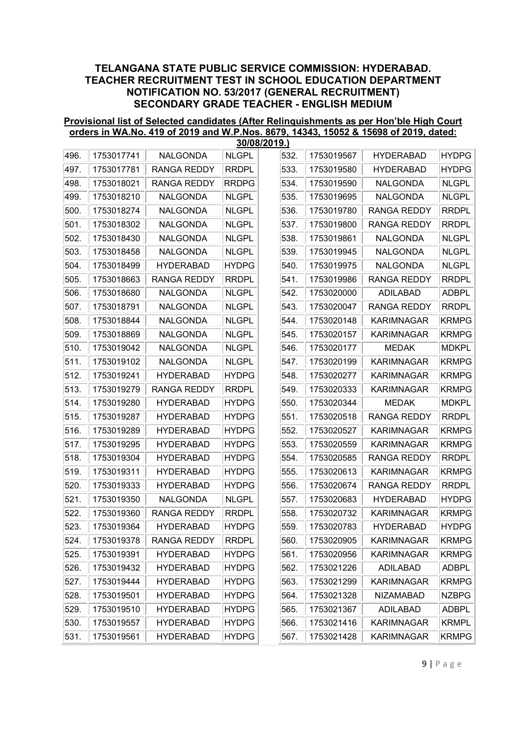#### Provisional list of Selected candidates (After Relinquishments as per Hon'ble High Court orders in WA.No. 419 of 2019 and W.P.Nos. 8679, 14343, 15052 & 15698 of 2019, dated: 30/08/2019.)

|      |            |                           |              | <b>JUIUOI</b> ∠U I J.J |                 |                    |              |
|------|------------|---------------------------|--------------|------------------------|-----------------|--------------------|--------------|
| 496. | 1753017741 | <b>NALGONDA</b>           | <b>NLGPL</b> | 532.                   | 1753019567      | <b>HYDERABAD</b>   | <b>HYDPG</b> |
| 497. | 1753017781 | <b>RANGA REDDY</b>        | <b>RRDPL</b> | 533.                   | 1753019580      | <b>HYDERABAD</b>   | <b>HYDPG</b> |
| 498. | 1753018021 | <b>RANGA REDDY</b>        | <b>RRDPG</b> | 534.                   | 1753019590      | <b>NALGONDA</b>    | <b>NLGPL</b> |
| 499. | 1753018210 | NALGONDA                  | <b>NLGPL</b> | 535.                   | 1753019695      | NALGONDA           | <b>NLGPL</b> |
| 500. | 1753018274 | <b>NALGONDA</b>           | <b>NLGPL</b> | 536.                   | 1753019780      | <b>RANGA REDDY</b> | <b>RRDPL</b> |
| 501. | 1753018302 | <b>NALGONDA</b>           | <b>NLGPL</b> | 537.                   | 1753019800      | <b>RANGA REDDY</b> | <b>RRDPL</b> |
| 502. | 1753018430 | NALGONDA                  | <b>NLGPL</b> | 538.                   | 1753019861      | NALGONDA           | <b>NLGPL</b> |
| 503. | 1753018458 | <b>NALGONDA</b>           | <b>NLGPL</b> | 539.                   | 1753019945      | <b>NALGONDA</b>    | <b>NLGPL</b> |
| 504. | 1753018499 | <b>HYDERABAD</b>          | <b>HYDPG</b> | 540.                   | 1753019975      | <b>NALGONDA</b>    | <b>NLGPL</b> |
| 505. | 1753018663 | <b>RANGA REDDY</b>        | <b>RRDPL</b> | 541.                   | 1753019986      | <b>RANGA REDDY</b> | <b>RRDPL</b> |
| 506. | 1753018680 | <b>NALGONDA</b>           | <b>NLGPL</b> | 542.                   | 1753020000      | <b>ADILABAD</b>    | <b>ADBPL</b> |
| 507. | 1753018791 | <b>NALGONDA</b>           | <b>NLGPL</b> | 543.                   | 1753020047      | <b>RANGA REDDY</b> | <b>RRDPL</b> |
| 508. | 1753018844 | <b>NALGONDA</b>           | <b>NLGPL</b> | 544.                   | 1753020148      | <b>KARIMNAGAR</b>  | <b>KRMPG</b> |
| 509. | 1753018869 | NALGONDA                  | <b>NLGPL</b> | 545.                   | 1753020157      | <b>KARIMNAGAR</b>  | <b>KRMPG</b> |
| 510. | 1753019042 | <b>NALGONDA</b>           | <b>NLGPL</b> | 546.                   | 1753020177      | <b>MEDAK</b>       | <b>MDKPL</b> |
| 511. | 1753019102 | <b>NALGONDA</b>           | <b>NLGPL</b> | 547.                   | 1753020199      | <b>KARIMNAGAR</b>  | <b>KRMPG</b> |
| 512. | 1753019241 | <b>HYDERABAD</b>          | <b>HYDPG</b> | 548.                   | 1753020277      | <b>KARIMNAGAR</b>  | <b>KRMPG</b> |
| 513. | 1753019279 | <b>RANGA REDDY</b>        | <b>RRDPL</b> | 549.                   | 1753020333      | <b>KARIMNAGAR</b>  | <b>KRMPG</b> |
| 514. | 1753019280 | <b>HYDERABAD</b>          | <b>HYDPG</b> | 550.                   | 1753020344      | <b>MEDAK</b>       | <b>MDKPL</b> |
| 515. | 1753019287 | <b>HYDERABAD</b>          | <b>HYDPG</b> | 551.                   | 1753020518      | <b>RANGA REDDY</b> | <b>RRDPL</b> |
| 516. | 1753019289 | <b>HYDERABAD</b>          | <b>HYDPG</b> | 552.                   | 1753020527      | <b>KARIMNAGAR</b>  | <b>KRMPG</b> |
| 517. | 1753019295 | <b>HYDERABAD</b>          | <b>HYDPG</b> | 553.                   | 1753020559      | <b>KARIMNAGAR</b>  | <b>KRMPG</b> |
| 518. | 1753019304 | <b>HYDERABAD</b>          | <b>HYDPG</b> | 554.                   | 1753020585      | <b>RANGA REDDY</b> | <b>RRDPL</b> |
| 519. | 1753019311 | <b>HYDERABAD</b>          | <b>HYDPG</b> | 555.                   | 1753020613      | <b>KARIMNAGAR</b>  | <b>KRMPG</b> |
| 520. | 1753019333 | <b>HYDERABAD</b>          | <b>HYDPG</b> | 556.                   | 1753020674      | <b>RANGA REDDY</b> | <b>RRDPL</b> |
| 521. | 1753019350 | <b>NALGONDA</b>           | <b>NLGPL</b> | 557.                   | 1753020683      | <b>HYDERABAD</b>   | <b>HYDPG</b> |
| 522. | 1753019360 | <b>RANGA REDDY</b>        | <b>RRDPL</b> | 558.                   | 1753020732      | <b>KARIMNAGAR</b>  | <b>KRMPG</b> |
| 523. | 1753019364 | <b>HYDERABAD</b>          | <b>HYDPG</b> | 559.                   | 1753020783      | <b>HYDERABAD</b>   | <b>HYDPG</b> |
| 524. |            | 1753019378    RANGA REDDY | <b>RRDPL</b> |                        | 560. 1753020905 | KARIMNAGAR         | KRMPG        |
| 525. | 1753019391 | <b>HYDERABAD</b>          | <b>HYDPG</b> | 561.                   | 1753020956      | <b>KARIMNAGAR</b>  | <b>KRMPG</b> |
| 526. | 1753019432 | <b>HYDERABAD</b>          | <b>HYDPG</b> | 562.                   | 1753021226      | <b>ADILABAD</b>    | ADBPL        |
| 527. | 1753019444 | <b>HYDERABAD</b>          | <b>HYDPG</b> | 563.                   | 1753021299      | <b>KARIMNAGAR</b>  | <b>KRMPG</b> |
| 528. | 1753019501 | <b>HYDERABAD</b>          | <b>HYDPG</b> | 564.                   | 1753021328      | NIZAMABAD          | <b>NZBPG</b> |
| 529. | 1753019510 | <b>HYDERABAD</b>          | <b>HYDPG</b> | 565.                   | 1753021367      | <b>ADILABAD</b>    | <b>ADBPL</b> |
| 530. | 1753019557 | <b>HYDERABAD</b>          | <b>HYDPG</b> | 566.                   | 1753021416      | <b>KARIMNAGAR</b>  | <b>KRMPL</b> |
| 531. | 1753019561 | <b>HYDERABAD</b>          | <b>HYDPG</b> | 567.                   | 1753021428      | <b>KARIMNAGAR</b>  | <b>KRMPG</b> |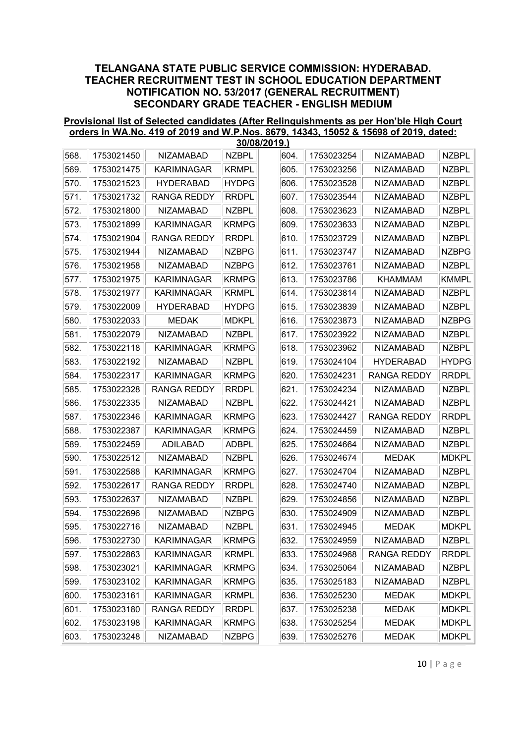#### Provisional list of Selected candidates (After Relinquishments as per Hon'ble High Court orders in WA.No. 419 of 2019 and W.P.Nos. 8679, 14343, 15052 & 15698 of 2019, dated: 30/08/2019.)

|      |            |                    |              | 30/08/ZU19.) |            |                    |              |
|------|------------|--------------------|--------------|--------------|------------|--------------------|--------------|
| 568. | 1753021450 | <b>NIZAMABAD</b>   | <b>NZBPL</b> | 604.         | 1753023254 | <b>NIZAMABAD</b>   | <b>NZBPL</b> |
| 569. | 1753021475 | <b>KARIMNAGAR</b>  | <b>KRMPL</b> | 605.         | 1753023256 | <b>NIZAMABAD</b>   | <b>NZBPL</b> |
| 570. | 1753021523 | <b>HYDERABAD</b>   | <b>HYDPG</b> | 606.         | 1753023528 | <b>NIZAMABAD</b>   | <b>NZBPL</b> |
| 571. | 1753021732 | <b>RANGA REDDY</b> | <b>RRDPL</b> | 607.         | 1753023544 | <b>NIZAMABAD</b>   | <b>NZBPL</b> |
| 572. | 1753021800 | <b>NIZAMABAD</b>   | <b>NZBPL</b> | 608.         | 1753023623 | <b>NIZAMABAD</b>   | <b>NZBPL</b> |
| 573. | 1753021899 | <b>KARIMNAGAR</b>  | <b>KRMPG</b> | 609.         | 1753023633 | <b>NIZAMABAD</b>   | <b>NZBPL</b> |
| 574. | 1753021904 | <b>RANGA REDDY</b> | <b>RRDPL</b> | 610.         | 1753023729 | <b>NIZAMABAD</b>   | <b>NZBPL</b> |
| 575. | 1753021944 | <b>NIZAMABAD</b>   | <b>NZBPG</b> | 611.         | 1753023747 | <b>NIZAMABAD</b>   | <b>NZBPG</b> |
| 576. | 1753021958 | <b>NIZAMABAD</b>   | <b>NZBPG</b> | 612.         | 1753023761 | <b>NIZAMABAD</b>   | <b>NZBPL</b> |
| 577. | 1753021975 | <b>KARIMNAGAR</b>  | KRMPG        | 613.         | 1753023786 | <b>KHAMMAM</b>     | <b>KMMPL</b> |
| 578. | 1753021977 | <b>KARIMNAGAR</b>  | <b>KRMPL</b> | 614.         | 1753023814 | <b>NIZAMABAD</b>   | <b>NZBPL</b> |
| 579. | 1753022009 | <b>HYDERABAD</b>   | <b>HYDPG</b> | 615.         | 1753023839 | <b>NIZAMABAD</b>   | <b>NZBPL</b> |
| 580. | 1753022033 | <b>MEDAK</b>       | <b>MDKPL</b> | 616.         | 1753023873 | <b>NIZAMABAD</b>   | <b>NZBPG</b> |
| 581. | 1753022079 | <b>NIZAMABAD</b>   | <b>NZBPL</b> | 617.         | 1753023922 | <b>NIZAMABAD</b>   | <b>NZBPL</b> |
| 582. | 1753022118 | <b>KARIMNAGAR</b>  | <b>KRMPG</b> | 618.         | 1753023962 | <b>NIZAMABAD</b>   | <b>NZBPL</b> |
| 583. | 1753022192 | <b>NIZAMABAD</b>   | <b>NZBPL</b> | 619.         | 1753024104 | <b>HYDERABAD</b>   | <b>HYDPG</b> |
| 584. | 1753022317 | <b>KARIMNAGAR</b>  | <b>KRMPG</b> | 620.         | 1753024231 | <b>RANGA REDDY</b> | <b>RRDPL</b> |
| 585. | 1753022328 | <b>RANGA REDDY</b> | <b>RRDPL</b> | 621.         | 1753024234 | <b>NIZAMABAD</b>   | <b>NZBPL</b> |
| 586. | 1753022335 | <b>NIZAMABAD</b>   | <b>NZBPL</b> | 622.         | 1753024421 | <b>NIZAMABAD</b>   | <b>NZBPL</b> |
| 587. | 1753022346 | <b>KARIMNAGAR</b>  | <b>KRMPG</b> | 623.         | 1753024427 | <b>RANGA REDDY</b> | <b>RRDPL</b> |
| 588. | 1753022387 | <b>KARIMNAGAR</b>  | <b>KRMPG</b> | 624.         | 1753024459 | <b>NIZAMABAD</b>   | <b>NZBPL</b> |
| 589. | 1753022459 | ADILABAD           | <b>ADBPL</b> | 625.         | 1753024664 | <b>NIZAMABAD</b>   | <b>NZBPL</b> |
| 590. | 1753022512 | <b>NIZAMABAD</b>   | <b>NZBPL</b> | 626.         | 1753024674 | <b>MEDAK</b>       | <b>MDKPL</b> |
| 591. | 1753022588 | <b>KARIMNAGAR</b>  | <b>KRMPG</b> | 627.         | 1753024704 | <b>NIZAMABAD</b>   | <b>NZBPL</b> |
| 592. | 1753022617 | <b>RANGA REDDY</b> | <b>RRDPL</b> | 628.         | 1753024740 | <b>NIZAMABAD</b>   | <b>NZBPL</b> |
| 593. | 1753022637 | <b>NIZAMABAD</b>   | <b>NZBPL</b> | 629.         | 1753024856 | <b>NIZAMABAD</b>   | <b>NZBPL</b> |
| 594. | 1753022696 | <b>NIZAMABAD</b>   | <b>NZBPG</b> | 630.         | 1753024909 | <b>NIZAMABAD</b>   | <b>NZBPL</b> |
| 595. | 1753022716 | <b>NIZAMABAD</b>   | <b>NZBPL</b> | 631.         | 1753024945 | <b>MEDAK</b>       | <b>MDKPL</b> |
| 596. | 1753022730 | KARIMNAGAR         | KRMPG        | 632.         | 1753024959 | <b>NIZAMABAD</b>   | <b>NZBPL</b> |
| 597. | 1753022863 | <b>KARIMNAGAR</b>  | <b>KRMPL</b> | 633.         | 1753024968 | RANGA REDDY        | <b>RRDPL</b> |
| 598. | 1753023021 | <b>KARIMNAGAR</b>  | <b>KRMPG</b> | 634.         | 1753025064 | <b>NIZAMABAD</b>   | <b>NZBPL</b> |
| 599. | 1753023102 | <b>KARIMNAGAR</b>  | KRMPG        | 635.         | 1753025183 | NIZAMABAD          | <b>NZBPL</b> |
| 600. | 1753023161 | <b>KARIMNAGAR</b>  | <b>KRMPL</b> | 636.         | 1753025230 | <b>MEDAK</b>       | <b>MDKPL</b> |
| 601. | 1753023180 | <b>RANGA REDDY</b> | <b>RRDPL</b> | 637.         | 1753025238 | <b>MEDAK</b>       | <b>MDKPL</b> |
| 602. | 1753023198 | <b>KARIMNAGAR</b>  | <b>KRMPG</b> | 638.         | 1753025254 | <b>MEDAK</b>       | <b>MDKPL</b> |
| 603. | 1753023248 | NIZAMABAD          | <b>NZBPG</b> | 639.         | 1753025276 | <b>MEDAK</b>       | <b>MDKPL</b> |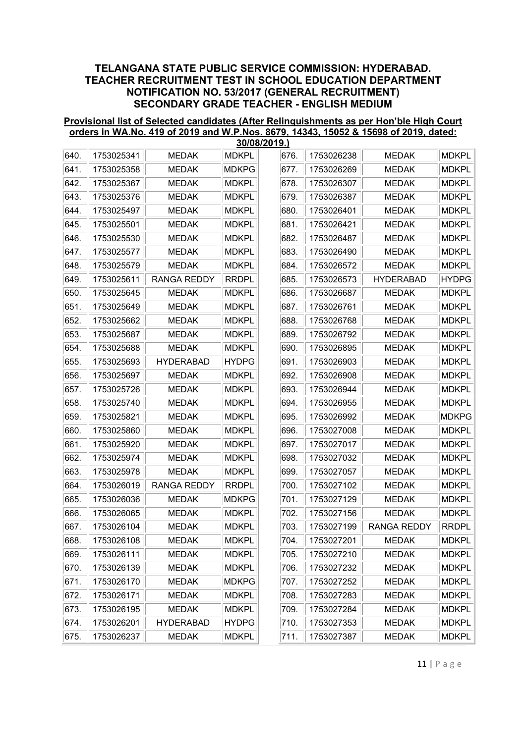#### Provisional list of Selected candidates (After Relinquishments as per Hon'ble High Court orders in WA.No. 419 of 2019 and W.P.Nos. 8679, 14343, 15052 & 15698 of 2019, dated: 30/08/2019.)

|      | 30/08/2019.) |                    |              |      |            |                    |              |  |  |  |  |
|------|--------------|--------------------|--------------|------|------------|--------------------|--------------|--|--|--|--|
| 640. | 1753025341   | <b>MEDAK</b>       | <b>MDKPL</b> | 676. | 1753026238 | <b>MEDAK</b>       | <b>MDKPL</b> |  |  |  |  |
| 641. | 1753025358   | <b>MEDAK</b>       | <b>MDKPG</b> | 677. | 1753026269 | <b>MEDAK</b>       | <b>MDKPL</b> |  |  |  |  |
| 642. | 1753025367   | <b>MEDAK</b>       | <b>MDKPL</b> | 678. | 1753026307 | <b>MEDAK</b>       | <b>MDKPL</b> |  |  |  |  |
| 643. | 1753025376   | <b>MEDAK</b>       | <b>MDKPL</b> | 679. | 1753026387 | <b>MEDAK</b>       | <b>MDKPL</b> |  |  |  |  |
| 644. | 1753025497   | <b>MEDAK</b>       | <b>MDKPL</b> | 680. | 1753026401 | <b>MEDAK</b>       | <b>MDKPL</b> |  |  |  |  |
| 645. | 1753025501   | <b>MEDAK</b>       | <b>MDKPL</b> | 681. | 1753026421 | <b>MEDAK</b>       | <b>MDKPL</b> |  |  |  |  |
| 646. | 1753025530   | <b>MEDAK</b>       | <b>MDKPL</b> | 682. | 1753026487 | <b>MEDAK</b>       | <b>MDKPL</b> |  |  |  |  |
| 647. | 1753025577   | <b>MEDAK</b>       | <b>MDKPL</b> | 683. | 1753026490 | <b>MEDAK</b>       | <b>MDKPL</b> |  |  |  |  |
| 648. | 1753025579   | <b>MEDAK</b>       | <b>MDKPL</b> | 684. | 1753026572 | <b>MEDAK</b>       | <b>MDKPL</b> |  |  |  |  |
| 649. | 1753025611   | <b>RANGA REDDY</b> | <b>RRDPL</b> | 685. | 1753026573 | <b>HYDERABAD</b>   | <b>HYDPG</b> |  |  |  |  |
| 650. | 1753025645   | <b>MEDAK</b>       | <b>MDKPL</b> | 686. | 1753026687 | <b>MEDAK</b>       | <b>MDKPL</b> |  |  |  |  |
| 651. | 1753025649   | <b>MEDAK</b>       | <b>MDKPL</b> | 687. | 1753026761 | <b>MEDAK</b>       | <b>MDKPL</b> |  |  |  |  |
| 652. | 1753025662   | <b>MEDAK</b>       | <b>MDKPL</b> | 688. | 1753026768 | <b>MEDAK</b>       | <b>MDKPL</b> |  |  |  |  |
| 653. | 1753025687   | <b>MEDAK</b>       | <b>MDKPL</b> | 689. | 1753026792 | <b>MEDAK</b>       | <b>MDKPL</b> |  |  |  |  |
| 654. | 1753025688   | <b>MEDAK</b>       | <b>MDKPL</b> | 690. | 1753026895 | <b>MEDAK</b>       | <b>MDKPL</b> |  |  |  |  |
| 655. | 1753025693   | <b>HYDERABAD</b>   | <b>HYDPG</b> | 691. | 1753026903 | <b>MEDAK</b>       | <b>MDKPL</b> |  |  |  |  |
| 656. | 1753025697   | <b>MEDAK</b>       | <b>MDKPL</b> | 692. | 1753026908 | <b>MEDAK</b>       | <b>MDKPL</b> |  |  |  |  |
| 657. | 1753025726   | <b>MEDAK</b>       | <b>MDKPL</b> | 693. | 1753026944 | <b>MEDAK</b>       | <b>MDKPL</b> |  |  |  |  |
| 658. | 1753025740   | <b>MEDAK</b>       | <b>MDKPL</b> | 694. | 1753026955 | <b>MEDAK</b>       | <b>MDKPL</b> |  |  |  |  |
| 659. | 1753025821   | <b>MEDAK</b>       | <b>MDKPL</b> | 695. | 1753026992 | <b>MEDAK</b>       | <b>MDKPG</b> |  |  |  |  |
| 660. | 1753025860   | <b>MEDAK</b>       | <b>MDKPL</b> | 696. | 1753027008 | <b>MEDAK</b>       | <b>MDKPL</b> |  |  |  |  |
| 661. | 1753025920   | <b>MEDAK</b>       | <b>MDKPL</b> | 697. | 1753027017 | <b>MEDAK</b>       | <b>MDKPL</b> |  |  |  |  |
| 662. | 1753025974   | <b>MEDAK</b>       | <b>MDKPL</b> | 698. | 1753027032 | <b>MEDAK</b>       | <b>MDKPL</b> |  |  |  |  |
| 663. | 1753025978   | <b>MEDAK</b>       | <b>MDKPL</b> | 699. | 1753027057 | <b>MEDAK</b>       | <b>MDKPL</b> |  |  |  |  |
| 664. | 1753026019   | <b>RANGA REDDY</b> | <b>RRDPL</b> | 700. | 1753027102 | <b>MEDAK</b>       | <b>MDKPL</b> |  |  |  |  |
| 665. | 1753026036   | <b>MEDAK</b>       | <b>MDKPG</b> | 701. | 1753027129 | <b>MEDAK</b>       | <b>MDKPL</b> |  |  |  |  |
| 666. | 1753026065   | <b>MEDAK</b>       | <b>MDKPL</b> | 702. | 1753027156 | <b>MEDAK</b>       | <b>MDKPL</b> |  |  |  |  |
| 667. | 1753026104   | <b>MEDAK</b>       | <b>MDKPL</b> | 703. | 1753027199 | <b>RANGA REDDY</b> | <b>RRDPL</b> |  |  |  |  |
| 668. | 1753026108   | MEDAK              | <b>MDKPL</b> | 704. | 1753027201 | MEDAK              | <b>MDKPL</b> |  |  |  |  |
| 669. | 1753026111   | <b>MEDAK</b>       | <b>MDKPL</b> | 705. | 1753027210 | <b>MEDAK</b>       | <b>MDKPL</b> |  |  |  |  |
| 670. | 1753026139   | MEDAK              | <b>MDKPL</b> | 706. | 1753027232 | <b>MEDAK</b>       | <b>MDKPL</b> |  |  |  |  |
| 671. | 1753026170   | <b>MEDAK</b>       | <b>MDKPG</b> | 707. | 1753027252 | <b>MEDAK</b>       | <b>MDKPL</b> |  |  |  |  |
| 672. | 1753026171   | <b>MEDAK</b>       | <b>MDKPL</b> | 708. | 1753027283 | <b>MEDAK</b>       | <b>MDKPL</b> |  |  |  |  |
| 673. | 1753026195   | <b>MEDAK</b>       | <b>MDKPL</b> | 709. | 1753027284 | <b>MEDAK</b>       | <b>MDKPL</b> |  |  |  |  |
| 674. | 1753026201   | <b>HYDERABAD</b>   | <b>HYDPG</b> | 710. | 1753027353 | MEDAK              | <b>MDKPL</b> |  |  |  |  |
| 675. | 1753026237   | MEDAK              | <b>MDKPL</b> | 711. | 1753027387 | <b>MEDAK</b>       | <b>MDKPL</b> |  |  |  |  |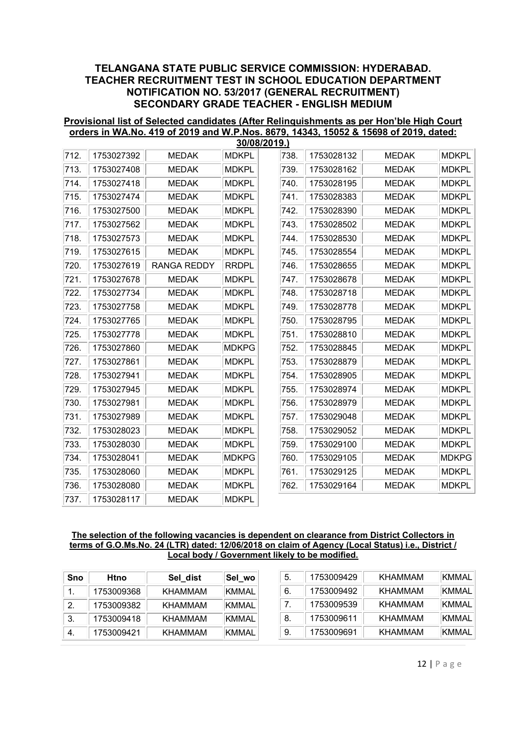#### Provisional list of Selected candidates (After Relinquishments as per Hon'ble High Court orders in WA.No. 419 of 2019 and W.P.Nos. 8679, 14343, 15052 & 15698 of 2019, dated: 30/08/2019.)

|      | 30/08/2019.) |                    |              |      |            |              |              |  |  |  |  |
|------|--------------|--------------------|--------------|------|------------|--------------|--------------|--|--|--|--|
| 712. | 1753027392   | <b>MEDAK</b>       | <b>MDKPL</b> | 738. | 1753028132 | <b>MEDAK</b> | <b>MDKPL</b> |  |  |  |  |
| 713. | 1753027408   | <b>MEDAK</b>       | <b>MDKPL</b> | 739. | 1753028162 | <b>MEDAK</b> | <b>MDKPL</b> |  |  |  |  |
| 714. | 1753027418   | <b>MEDAK</b>       | <b>MDKPL</b> | 740. | 1753028195 | <b>MEDAK</b> | <b>MDKPL</b> |  |  |  |  |
| 715. | 1753027474   | <b>MEDAK</b>       | <b>MDKPL</b> | 741. | 1753028383 | <b>MEDAK</b> | <b>MDKPL</b> |  |  |  |  |
| 716. | 1753027500   | <b>MEDAK</b>       | <b>MDKPL</b> | 742. | 1753028390 | <b>MEDAK</b> | <b>MDKPL</b> |  |  |  |  |
| 717. | 1753027562   | <b>MEDAK</b>       | <b>MDKPL</b> | 743. | 1753028502 | <b>MEDAK</b> | <b>MDKPL</b> |  |  |  |  |
| 718. | 1753027573   | <b>MEDAK</b>       | <b>MDKPL</b> | 744. | 1753028530 | <b>MEDAK</b> | <b>MDKPL</b> |  |  |  |  |
| 719. | 1753027615   | <b>MEDAK</b>       | <b>MDKPL</b> | 745. | 1753028554 | <b>MEDAK</b> | <b>MDKPL</b> |  |  |  |  |
| 720. | 1753027619   | <b>RANGA REDDY</b> | <b>RRDPL</b> | 746. | 1753028655 | <b>MEDAK</b> | <b>MDKPL</b> |  |  |  |  |
| 721. | 1753027678   | <b>MEDAK</b>       | <b>MDKPL</b> | 747. | 1753028678 | <b>MEDAK</b> | <b>MDKPL</b> |  |  |  |  |
| 722. | 1753027734   | <b>MEDAK</b>       | <b>MDKPL</b> | 748. | 1753028718 | <b>MEDAK</b> | <b>MDKPL</b> |  |  |  |  |
| 723. | 1753027758   | <b>MEDAK</b>       | <b>MDKPL</b> | 749. | 1753028778 | <b>MEDAK</b> | <b>MDKPL</b> |  |  |  |  |
| 724. | 1753027765   | <b>MEDAK</b>       | <b>MDKPL</b> | 750. | 1753028795 | <b>MEDAK</b> | <b>MDKPL</b> |  |  |  |  |
| 725. | 1753027778   | <b>MEDAK</b>       | <b>MDKPL</b> | 751. | 1753028810 | <b>MEDAK</b> | <b>MDKPL</b> |  |  |  |  |
| 726. | 1753027860   | <b>MEDAK</b>       | <b>MDKPG</b> | 752. | 1753028845 | <b>MEDAK</b> | <b>MDKPL</b> |  |  |  |  |
| 727. | 1753027861   | <b>MEDAK</b>       | <b>MDKPL</b> | 753. | 1753028879 | <b>MEDAK</b> | <b>MDKPL</b> |  |  |  |  |
| 728. | 1753027941   | <b>MEDAK</b>       | <b>MDKPL</b> | 754. | 1753028905 | <b>MEDAK</b> | <b>MDKPL</b> |  |  |  |  |
| 729. | 1753027945   | <b>MEDAK</b>       | <b>MDKPL</b> | 755. | 1753028974 | <b>MEDAK</b> | <b>MDKPL</b> |  |  |  |  |
| 730. | 1753027981   | <b>MEDAK</b>       | <b>MDKPL</b> | 756. | 1753028979 | <b>MEDAK</b> | <b>MDKPL</b> |  |  |  |  |
| 731. | 1753027989   | <b>MEDAK</b>       | <b>MDKPL</b> | 757. | 1753029048 | <b>MEDAK</b> | <b>MDKPL</b> |  |  |  |  |
| 732. | 1753028023   | <b>MEDAK</b>       | <b>MDKPL</b> | 758. | 1753029052 | <b>MEDAK</b> | <b>MDKPL</b> |  |  |  |  |
| 733. | 1753028030   | <b>MEDAK</b>       | <b>MDKPL</b> | 759. | 1753029100 | <b>MEDAK</b> | <b>MDKPL</b> |  |  |  |  |
| 734. | 1753028041   | <b>MEDAK</b>       | <b>MDKPG</b> | 760. | 1753029105 | <b>MEDAK</b> | <b>MDKPG</b> |  |  |  |  |
| 735. | 1753028060   | <b>MEDAK</b>       | <b>MDKPL</b> | 761. | 1753029125 | <b>MEDAK</b> | <b>MDKPL</b> |  |  |  |  |
| 736. | 1753028080   | <b>MEDAK</b>       | <b>MDKPL</b> | 762. | 1753029164 | <b>MEDAK</b> | <b>MDKPL</b> |  |  |  |  |
| 737. | 1753028117   | <b>MEDAK</b>       | <b>MDKPL</b> |      |            |              |              |  |  |  |  |

#### The selection of the following vacancies is dependent on clearance from District Collectors in terms of G.O.Ms.No. 24 (LTR) dated: 12/06/2018 on claim of Agency (Local Status) i.e., District / Local body / Government likely to be modified.

| Sno | Htno       | Sel dist       | Sel wo       | 5  | 1753009429 | KHAMMAM | KMMAL I |
|-----|------------|----------------|--------------|----|------------|---------|---------|
|     | 1753009368 | KHAMMAM        | <b>KMMAL</b> | 6. | 1753009492 | KHAMMAM | KMMAL   |
|     | 1753009382 | KHAMMAM        | <b>KMMAL</b> |    | 1753009539 | KHAMMAM | KMMAL   |
| 3.  | 1753009418 | KHAMMAM        | <b>KMMAL</b> | 8  | 1753009611 | KHAMMAM | KMMAL   |
|     | 1753009421 | <b>KHAMMAM</b> | <b>KMMAL</b> | 9  | 1753009691 | KHAMMAM | KMMAL I |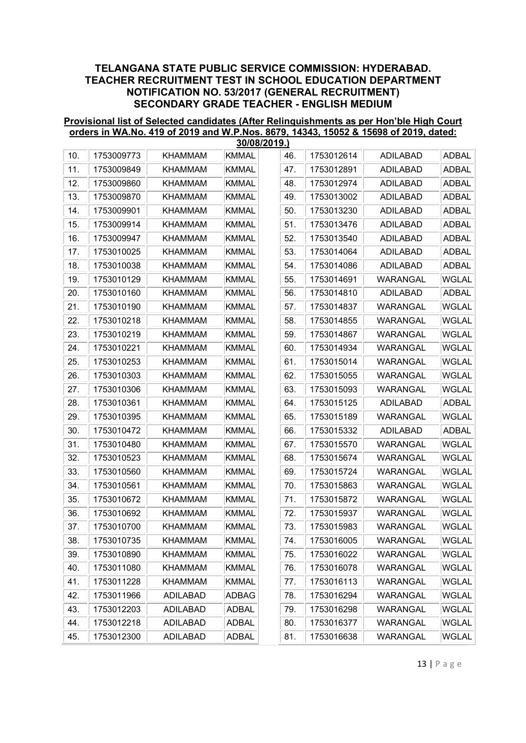#### Provisional list of Selected candidates (After Relinquishments as per Hon'ble High Court orders in WA.No. 419 of 2019 and W.P.Nos. 8679, 14343, 15052 & 15698 of 2019, dated: 30/08/2019.)

|     | 30/08/2019.) |                 |              |  |     |            |                 |              |  |  |  |  |  |  |
|-----|--------------|-----------------|--------------|--|-----|------------|-----------------|--------------|--|--|--|--|--|--|
| 10. | 1753009773   | <b>KHAMMAM</b>  | <b>KMMAL</b> |  | 46. | 1753012614 | <b>ADILABAD</b> | <b>ADBAL</b> |  |  |  |  |  |  |
| 11. | 1753009849   | <b>KHAMMAM</b>  | <b>KMMAL</b> |  | 47. | 1753012891 | <b>ADILABAD</b> | <b>ADBAL</b> |  |  |  |  |  |  |
| 12. | 1753009860   | <b>KHAMMAM</b>  | <b>KMMAL</b> |  | 48. | 1753012974 | <b>ADILABAD</b> | <b>ADBAL</b> |  |  |  |  |  |  |
| 13. | 1753009870   | <b>KHAMMAM</b>  | <b>KMMAL</b> |  | 49. | 1753013002 | <b>ADILABAD</b> | <b>ADBAL</b> |  |  |  |  |  |  |
| 14. | 1753009901   | <b>KHAMMAM</b>  | <b>KMMAL</b> |  | 50. | 1753013230 | <b>ADILABAD</b> | <b>ADBAL</b> |  |  |  |  |  |  |
| 15. | 1753009914   | <b>KHAMMAM</b>  | <b>KMMAL</b> |  | 51. | 1753013476 | <b>ADILABAD</b> | <b>ADBAL</b> |  |  |  |  |  |  |
| 16. | 1753009947   | <b>KHAMMAM</b>  | <b>KMMAL</b> |  | 52. | 1753013540 | <b>ADILABAD</b> | <b>ADBAL</b> |  |  |  |  |  |  |
| 17. | 1753010025   | <b>KHAMMAM</b>  | <b>KMMAL</b> |  | 53. | 1753014064 | <b>ADILABAD</b> | <b>ADBAL</b> |  |  |  |  |  |  |
| 18. | 1753010038   | <b>KHAMMAM</b>  | <b>KMMAL</b> |  | 54. | 1753014086 | <b>ADILABAD</b> | <b>ADBAL</b> |  |  |  |  |  |  |
| 19. | 1753010129   | <b>KHAMMAM</b>  | <b>KMMAL</b> |  | 55. | 1753014691 | WARANGAL        | <b>WGLAL</b> |  |  |  |  |  |  |
| 20. | 1753010160   | <b>KHAMMAM</b>  | <b>KMMAL</b> |  | 56. | 1753014810 | <b>ADILABAD</b> | <b>ADBAL</b> |  |  |  |  |  |  |
| 21. | 1753010190   | <b>KHAMMAM</b>  | <b>KMMAL</b> |  | 57. | 1753014837 | WARANGAL        | WGLAL        |  |  |  |  |  |  |
| 22. | 1753010218   | <b>KHAMMAM</b>  | <b>KMMAL</b> |  | 58. | 1753014855 | WARANGAL        | WGLAL        |  |  |  |  |  |  |
| 23. | 1753010219   | <b>KHAMMAM</b>  | <b>KMMAL</b> |  | 59. | 1753014867 | WARANGAL        | WGLAL        |  |  |  |  |  |  |
| 24. | 1753010221   | <b>KHAMMAM</b>  | <b>KMMAL</b> |  | 60. | 1753014934 | WARANGAL        | <b>WGLAL</b> |  |  |  |  |  |  |
| 25. | 1753010253   | <b>KHAMMAM</b>  | <b>KMMAL</b> |  | 61. | 1753015014 | WARANGAL        | <b>WGLAL</b> |  |  |  |  |  |  |
| 26. | 1753010303   | <b>KHAMMAM</b>  | <b>KMMAL</b> |  | 62. | 1753015055 | WARANGAL        | <b>WGLAL</b> |  |  |  |  |  |  |
| 27. | 1753010306   | <b>KHAMMAM</b>  | <b>KMMAL</b> |  | 63. | 1753015093 | WARANGAL        | <b>WGLAL</b> |  |  |  |  |  |  |
| 28. | 1753010361   | <b>KHAMMAM</b>  | <b>KMMAL</b> |  | 64. | 1753015125 | <b>ADILABAD</b> | ADBAL        |  |  |  |  |  |  |
| 29. | 1753010395   | <b>KHAMMAM</b>  | <b>KMMAL</b> |  | 65. | 1753015189 | WARANGAL        | WGLAL        |  |  |  |  |  |  |
| 30. | 1753010472   | <b>KHAMMAM</b>  | <b>KMMAL</b> |  | 66. | 1753015332 | <b>ADILABAD</b> | <b>ADBAL</b> |  |  |  |  |  |  |
| 31. | 1753010480   | <b>KHAMMAM</b>  | <b>KMMAL</b> |  | 67. | 1753015570 | WARANGAL        | <b>WGLAL</b> |  |  |  |  |  |  |
| 32. | 1753010523   | <b>KHAMMAM</b>  | <b>KMMAL</b> |  | 68. | 1753015674 | WARANGAL        | <b>WGLAL</b> |  |  |  |  |  |  |
| 33. | 1753010560   | <b>KHAMMAM</b>  | <b>KMMAL</b> |  | 69. | 1753015724 | WARANGAL        | WGLAL        |  |  |  |  |  |  |
| 34. | 1753010561   | <b>KHAMMAM</b>  | <b>KMMAL</b> |  | 70. | 1753015863 | WARANGAL        | WGLAL        |  |  |  |  |  |  |
| 35. | 1753010672   | <b>KHAMMAM</b>  | <b>KMMAL</b> |  | 71. | 1753015872 | WARANGAL        | WGLAL        |  |  |  |  |  |  |
| 36. | 1753010692   | <b>KHAMMAM</b>  | <b>KMMAL</b> |  | 72. | 1753015937 | WARANGAL        | <b>WGLAL</b> |  |  |  |  |  |  |
| 37. | 1753010700   | <b>KHAMMAM</b>  | <b>KMMAL</b> |  | 73. | 1753015983 | WARANGAL        | WGLAL        |  |  |  |  |  |  |
| 38. | 1753010735   | KHAMMAM         | <b>KMMAL</b> |  | 74. | 1753016005 | WARANGAL        | WGLAL        |  |  |  |  |  |  |
| 39. | 1753010890   | <b>KHAMMAM</b>  | <b>KMMAL</b> |  | 75. | 1753016022 | WARANGAL        | <b>WGLAL</b> |  |  |  |  |  |  |
| 40. | 1753011080   | <b>KHAMMAM</b>  | <b>KMMAL</b> |  | 76. | 1753016078 | WARANGAL        | WGLAL        |  |  |  |  |  |  |
| 41. | 1753011228   | <b>KHAMMAM</b>  | <b>KMMAL</b> |  | 77. | 1753016113 | WARANGAL        | WGLAL        |  |  |  |  |  |  |
| 42. | 1753011966   | <b>ADILABAD</b> | ADBAG        |  | 78. | 1753016294 | WARANGAL        | WGLAL        |  |  |  |  |  |  |
| 43. | 1753012203   | <b>ADILABAD</b> | ADBAL        |  | 79. | 1753016298 | <b>WARANGAL</b> | WGLAL        |  |  |  |  |  |  |
| 44. | 1753012218   | ADILABAD        | ADBAL        |  | 80. | 1753016377 | WARANGAL        | <b>WGLAL</b> |  |  |  |  |  |  |
| 45. | 1753012300   | <b>ADILABAD</b> | ADBAL        |  | 81. | 1753016638 | WARANGAL        | WGLAL        |  |  |  |  |  |  |